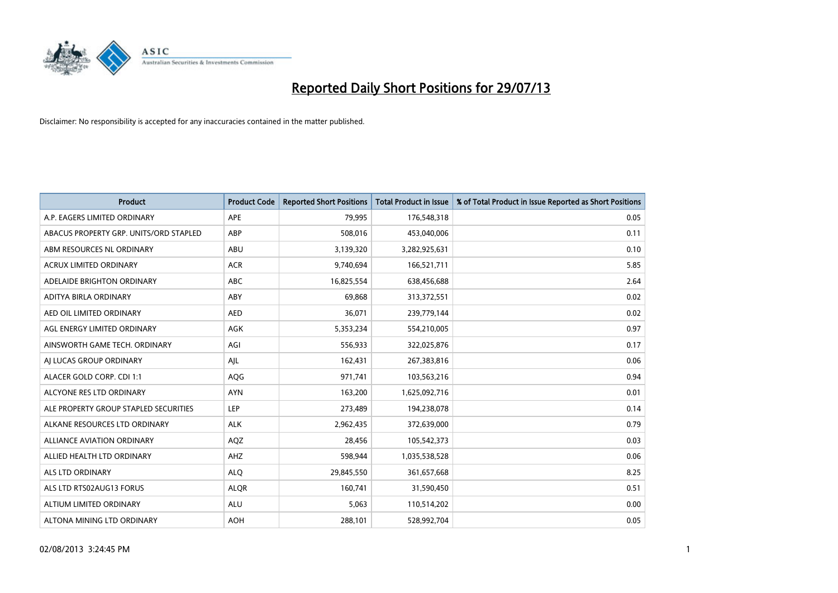

| <b>Product</b>                         | <b>Product Code</b> | <b>Reported Short Positions</b> | <b>Total Product in Issue</b> | % of Total Product in Issue Reported as Short Positions |
|----------------------------------------|---------------------|---------------------------------|-------------------------------|---------------------------------------------------------|
| A.P. EAGERS LIMITED ORDINARY           | <b>APE</b>          | 79,995                          | 176,548,318                   | 0.05                                                    |
| ABACUS PROPERTY GRP. UNITS/ORD STAPLED | ABP                 | 508,016                         | 453,040,006                   | 0.11                                                    |
| ABM RESOURCES NL ORDINARY              | ABU                 | 3,139,320                       | 3,282,925,631                 | 0.10                                                    |
| ACRUX LIMITED ORDINARY                 | <b>ACR</b>          | 9,740,694                       | 166,521,711                   | 5.85                                                    |
| ADELAIDE BRIGHTON ORDINARY             | <b>ABC</b>          | 16,825,554                      | 638,456,688                   | 2.64                                                    |
| ADITYA BIRLA ORDINARY                  | ABY                 | 69,868                          | 313,372,551                   | 0.02                                                    |
| AED OIL LIMITED ORDINARY               | <b>AED</b>          | 36,071                          | 239,779,144                   | 0.02                                                    |
| AGL ENERGY LIMITED ORDINARY            | AGK                 | 5,353,234                       | 554,210,005                   | 0.97                                                    |
| AINSWORTH GAME TECH. ORDINARY          | AGI                 | 556,933                         | 322,025,876                   | 0.17                                                    |
| AI LUCAS GROUP ORDINARY                | AJL                 | 162,431                         | 267,383,816                   | 0.06                                                    |
| ALACER GOLD CORP. CDI 1:1              | AQG                 | 971,741                         | 103,563,216                   | 0.94                                                    |
| ALCYONE RES LTD ORDINARY               | <b>AYN</b>          | 163,200                         | 1,625,092,716                 | 0.01                                                    |
| ALE PROPERTY GROUP STAPLED SECURITIES  | <b>LEP</b>          | 273,489                         | 194,238,078                   | 0.14                                                    |
| ALKANE RESOURCES LTD ORDINARY          | <b>ALK</b>          | 2,962,435                       | 372,639,000                   | 0.79                                                    |
| <b>ALLIANCE AVIATION ORDINARY</b>      | AQZ                 | 28,456                          | 105,542,373                   | 0.03                                                    |
| ALLIED HEALTH LTD ORDINARY             | AHZ                 | 598,944                         | 1,035,538,528                 | 0.06                                                    |
| ALS LTD ORDINARY                       | <b>ALQ</b>          | 29,845,550                      | 361,657,668                   | 8.25                                                    |
| ALS LTD RTS02AUG13 FORUS               | <b>ALQR</b>         | 160,741                         | 31,590,450                    | 0.51                                                    |
| ALTIUM LIMITED ORDINARY                | <b>ALU</b>          | 5,063                           | 110,514,202                   | 0.00                                                    |
| ALTONA MINING LTD ORDINARY             | <b>AOH</b>          | 288,101                         | 528,992,704                   | 0.05                                                    |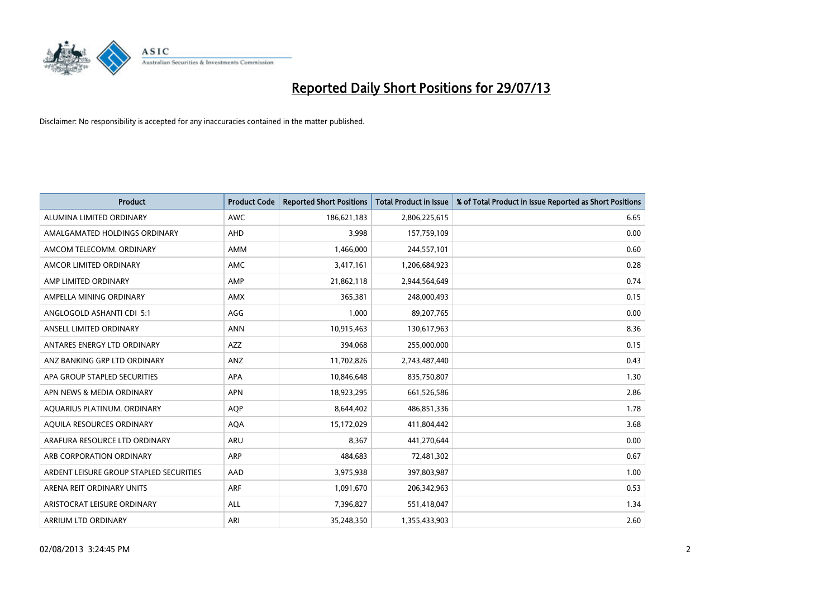

| <b>Product</b>                          | <b>Product Code</b> | <b>Reported Short Positions</b> | <b>Total Product in Issue</b> | % of Total Product in Issue Reported as Short Positions |
|-----------------------------------------|---------------------|---------------------------------|-------------------------------|---------------------------------------------------------|
| ALUMINA LIMITED ORDINARY                | <b>AWC</b>          | 186,621,183                     | 2,806,225,615                 | 6.65                                                    |
| AMALGAMATED HOLDINGS ORDINARY           | AHD                 | 3,998                           | 157,759,109                   | 0.00                                                    |
| AMCOM TELECOMM, ORDINARY                | AMM                 | 1,466,000                       | 244,557,101                   | 0.60                                                    |
| AMCOR LIMITED ORDINARY                  | AMC                 | 3,417,161                       | 1,206,684,923                 | 0.28                                                    |
| AMP LIMITED ORDINARY                    | AMP                 | 21,862,118                      | 2,944,564,649                 | 0.74                                                    |
| AMPELLA MINING ORDINARY                 | AMX                 | 365,381                         | 248,000,493                   | 0.15                                                    |
| ANGLOGOLD ASHANTI CDI 5:1               | AGG                 | 1.000                           | 89,207,765                    | 0.00                                                    |
| ANSELL LIMITED ORDINARY                 | <b>ANN</b>          | 10,915,463                      | 130,617,963                   | 8.36                                                    |
| ANTARES ENERGY LTD ORDINARY             | <b>AZZ</b>          | 394,068                         | 255,000,000                   | 0.15                                                    |
| ANZ BANKING GRP LTD ORDINARY            | ANZ                 | 11,702,826                      | 2,743,487,440                 | 0.43                                                    |
| APA GROUP STAPLED SECURITIES            | APA                 | 10,846,648                      | 835,750,807                   | 1.30                                                    |
| APN NEWS & MEDIA ORDINARY               | <b>APN</b>          | 18,923,295                      | 661,526,586                   | 2.86                                                    |
| AQUARIUS PLATINUM. ORDINARY             | <b>AOP</b>          | 8,644,402                       | 486,851,336                   | 1.78                                                    |
| AOUILA RESOURCES ORDINARY               | <b>AQA</b>          | 15,172,029                      | 411,804,442                   | 3.68                                                    |
| ARAFURA RESOURCE LTD ORDINARY           | ARU                 | 8,367                           | 441,270,644                   | 0.00                                                    |
| ARB CORPORATION ORDINARY                | <b>ARP</b>          | 484,683                         | 72,481,302                    | 0.67                                                    |
| ARDENT LEISURE GROUP STAPLED SECURITIES | AAD                 | 3,975,938                       | 397,803,987                   | 1.00                                                    |
| ARENA REIT ORDINARY UNITS               | <b>ARF</b>          | 1,091,670                       | 206,342,963                   | 0.53                                                    |
| ARISTOCRAT LEISURE ORDINARY             | ALL                 | 7,396,827                       | 551,418,047                   | 1.34                                                    |
| <b>ARRIUM LTD ORDINARY</b>              | ARI                 | 35,248,350                      | 1,355,433,903                 | 2.60                                                    |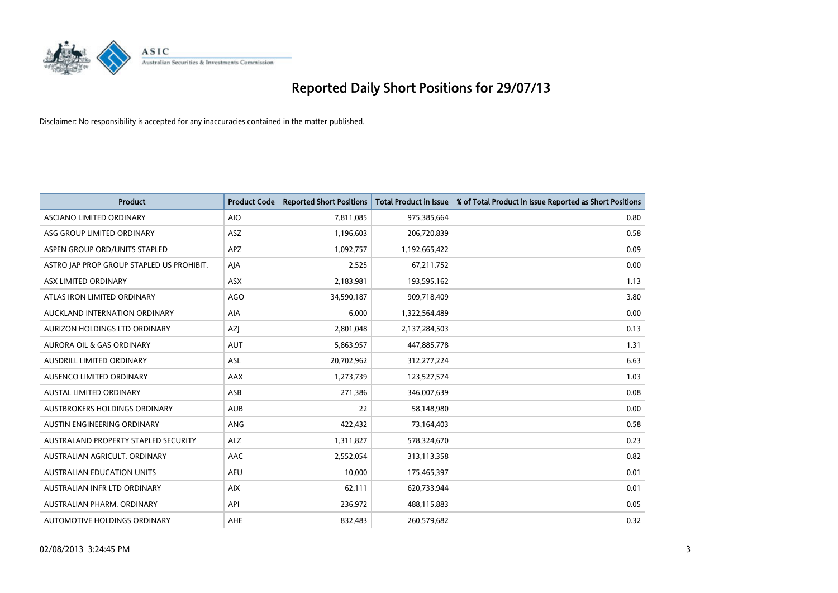

| <b>Product</b>                            | <b>Product Code</b> | <b>Reported Short Positions</b> | <b>Total Product in Issue</b> | % of Total Product in Issue Reported as Short Positions |
|-------------------------------------------|---------------------|---------------------------------|-------------------------------|---------------------------------------------------------|
| ASCIANO LIMITED ORDINARY                  | <b>AIO</b>          | 7,811,085                       | 975,385,664                   | 0.80                                                    |
| ASG GROUP LIMITED ORDINARY                | ASZ                 | 1,196,603                       | 206,720,839                   | 0.58                                                    |
| ASPEN GROUP ORD/UNITS STAPLED             | <b>APZ</b>          | 1,092,757                       | 1,192,665,422                 | 0.09                                                    |
| ASTRO JAP PROP GROUP STAPLED US PROHIBIT. | AJA                 | 2,525                           | 67,211,752                    | 0.00                                                    |
| ASX LIMITED ORDINARY                      | ASX                 | 2,183,981                       | 193,595,162                   | 1.13                                                    |
| ATLAS IRON LIMITED ORDINARY               | <b>AGO</b>          | 34,590,187                      | 909,718,409                   | 3.80                                                    |
| AUCKLAND INTERNATION ORDINARY             | AIA                 | 6,000                           | 1,322,564,489                 | 0.00                                                    |
| AURIZON HOLDINGS LTD ORDINARY             | AZJ                 | 2,801,048                       | 2,137,284,503                 | 0.13                                                    |
| <b>AURORA OIL &amp; GAS ORDINARY</b>      | <b>AUT</b>          | 5,863,957                       | 447,885,778                   | 1.31                                                    |
| AUSDRILL LIMITED ORDINARY                 | <b>ASL</b>          | 20,702,962                      | 312,277,224                   | 6.63                                                    |
| AUSENCO LIMITED ORDINARY                  | AAX                 | 1,273,739                       | 123,527,574                   | 1.03                                                    |
| AUSTAL LIMITED ORDINARY                   | ASB                 | 271,386                         | 346,007,639                   | 0.08                                                    |
| AUSTBROKERS HOLDINGS ORDINARY             | <b>AUB</b>          | 22                              | 58,148,980                    | 0.00                                                    |
| AUSTIN ENGINEERING ORDINARY               | ANG                 | 422,432                         | 73,164,403                    | 0.58                                                    |
| AUSTRALAND PROPERTY STAPLED SECURITY      | <b>ALZ</b>          | 1,311,827                       | 578,324,670                   | 0.23                                                    |
| AUSTRALIAN AGRICULT. ORDINARY             | AAC                 | 2,552,054                       | 313,113,358                   | 0.82                                                    |
| AUSTRALIAN EDUCATION UNITS                | <b>AEU</b>          | 10,000                          | 175,465,397                   | 0.01                                                    |
| AUSTRALIAN INFR LTD ORDINARY              | <b>AIX</b>          | 62,111                          | 620,733,944                   | 0.01                                                    |
| AUSTRALIAN PHARM, ORDINARY                | API                 | 236,972                         | 488,115,883                   | 0.05                                                    |
| AUTOMOTIVE HOLDINGS ORDINARY              | AHE                 | 832,483                         | 260,579,682                   | 0.32                                                    |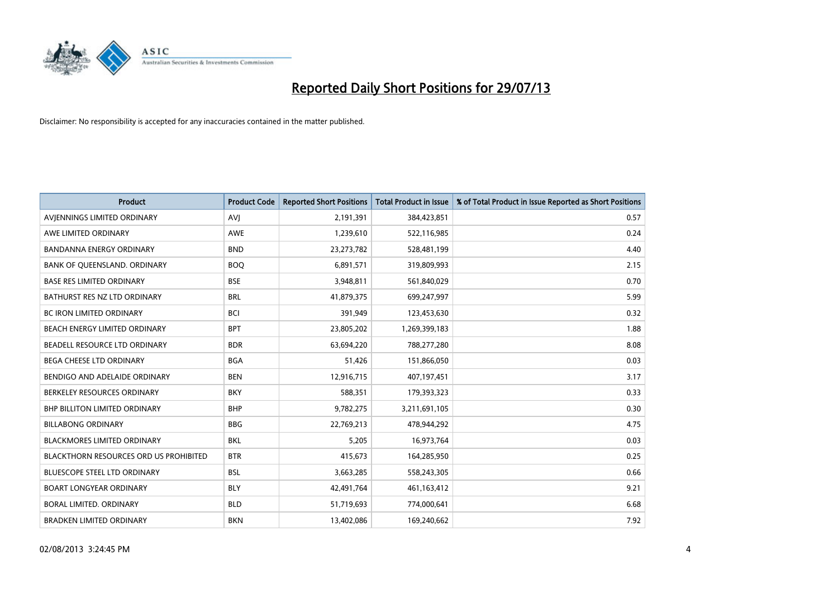

| <b>Product</b>                         | <b>Product Code</b> | <b>Reported Short Positions</b> | <b>Total Product in Issue</b> | % of Total Product in Issue Reported as Short Positions |
|----------------------------------------|---------------------|---------------------------------|-------------------------------|---------------------------------------------------------|
| AVIENNINGS LIMITED ORDINARY            | <b>AVJ</b>          | 2,191,391                       | 384,423,851                   | 0.57                                                    |
| AWE LIMITED ORDINARY                   | <b>AWE</b>          | 1,239,610                       | 522,116,985                   | 0.24                                                    |
| <b>BANDANNA ENERGY ORDINARY</b>        | <b>BND</b>          | 23,273,782                      | 528,481,199                   | 4.40                                                    |
| BANK OF QUEENSLAND. ORDINARY           | <b>BOQ</b>          | 6,891,571                       | 319,809,993                   | 2.15                                                    |
| <b>BASE RES LIMITED ORDINARY</b>       | <b>BSE</b>          | 3,948,811                       | 561,840,029                   | 0.70                                                    |
| BATHURST RES NZ LTD ORDINARY           | <b>BRL</b>          | 41,879,375                      | 699,247,997                   | 5.99                                                    |
| <b>BC IRON LIMITED ORDINARY</b>        | <b>BCI</b>          | 391,949                         | 123,453,630                   | 0.32                                                    |
| BEACH ENERGY LIMITED ORDINARY          | <b>BPT</b>          | 23,805,202                      | 1,269,399,183                 | 1.88                                                    |
| BEADELL RESOURCE LTD ORDINARY          | <b>BDR</b>          | 63,694,220                      | 788,277,280                   | 8.08                                                    |
| <b>BEGA CHEESE LTD ORDINARY</b>        | <b>BGA</b>          | 51,426                          | 151,866,050                   | 0.03                                                    |
| BENDIGO AND ADELAIDE ORDINARY          | <b>BEN</b>          | 12,916,715                      | 407,197,451                   | 3.17                                                    |
| BERKELEY RESOURCES ORDINARY            | <b>BKY</b>          | 588,351                         | 179,393,323                   | 0.33                                                    |
| <b>BHP BILLITON LIMITED ORDINARY</b>   | <b>BHP</b>          | 9,782,275                       | 3,211,691,105                 | 0.30                                                    |
| <b>BILLABONG ORDINARY</b>              | <b>BBG</b>          | 22,769,213                      | 478,944,292                   | 4.75                                                    |
| <b>BLACKMORES LIMITED ORDINARY</b>     | <b>BKL</b>          | 5,205                           | 16,973,764                    | 0.03                                                    |
| BLACKTHORN RESOURCES ORD US PROHIBITED | <b>BTR</b>          | 415,673                         | 164,285,950                   | 0.25                                                    |
| BLUESCOPE STEEL LTD ORDINARY           | <b>BSL</b>          | 3,663,285                       | 558,243,305                   | 0.66                                                    |
| <b>BOART LONGYEAR ORDINARY</b>         | <b>BLY</b>          | 42,491,764                      | 461,163,412                   | 9.21                                                    |
| <b>BORAL LIMITED, ORDINARY</b>         | <b>BLD</b>          | 51,719,693                      | 774,000,641                   | 6.68                                                    |
| <b>BRADKEN LIMITED ORDINARY</b>        | <b>BKN</b>          | 13,402,086                      | 169,240,662                   | 7.92                                                    |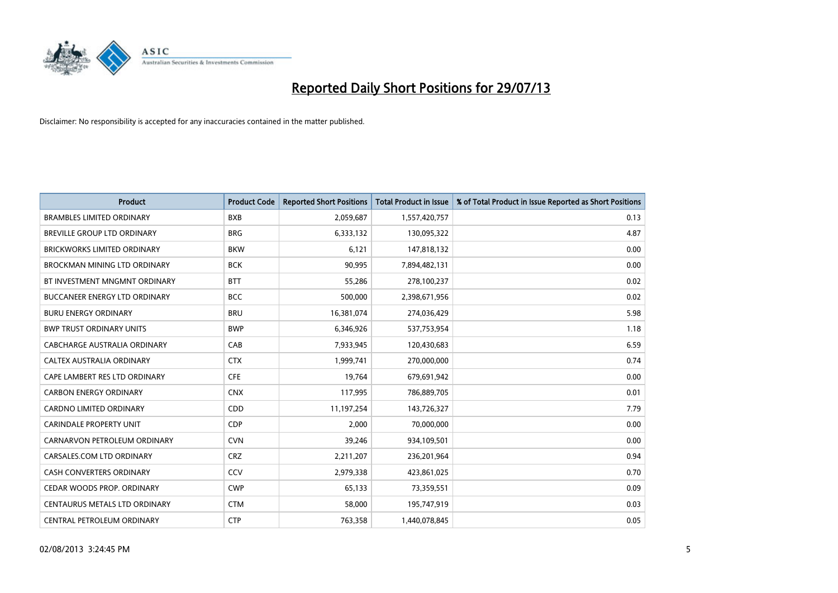

| <b>Product</b>                       | <b>Product Code</b> | <b>Reported Short Positions</b> | <b>Total Product in Issue</b> | % of Total Product in Issue Reported as Short Positions |
|--------------------------------------|---------------------|---------------------------------|-------------------------------|---------------------------------------------------------|
| <b>BRAMBLES LIMITED ORDINARY</b>     | <b>BXB</b>          | 2,059,687                       | 1,557,420,757                 | 0.13                                                    |
| BREVILLE GROUP LTD ORDINARY          | <b>BRG</b>          | 6,333,132                       | 130,095,322                   | 4.87                                                    |
| <b>BRICKWORKS LIMITED ORDINARY</b>   | <b>BKW</b>          | 6,121                           | 147,818,132                   | 0.00                                                    |
| <b>BROCKMAN MINING LTD ORDINARY</b>  | <b>BCK</b>          | 90,995                          | 7,894,482,131                 | 0.00                                                    |
| BT INVESTMENT MNGMNT ORDINARY        | <b>BTT</b>          | 55,286                          | 278,100,237                   | 0.02                                                    |
| <b>BUCCANEER ENERGY LTD ORDINARY</b> | <b>BCC</b>          | 500,000                         | 2,398,671,956                 | 0.02                                                    |
| <b>BURU ENERGY ORDINARY</b>          | <b>BRU</b>          | 16,381,074                      | 274,036,429                   | 5.98                                                    |
| <b>BWP TRUST ORDINARY UNITS</b>      | <b>BWP</b>          | 6,346,926                       | 537,753,954                   | 1.18                                                    |
| <b>CABCHARGE AUSTRALIA ORDINARY</b>  | CAB                 | 7,933,945                       | 120,430,683                   | 6.59                                                    |
| CALTEX AUSTRALIA ORDINARY            | <b>CTX</b>          | 1,999,741                       | 270,000,000                   | 0.74                                                    |
| CAPE LAMBERT RES LTD ORDINARY        | <b>CFE</b>          | 19,764                          | 679,691,942                   | 0.00                                                    |
| <b>CARBON ENERGY ORDINARY</b>        | <b>CNX</b>          | 117,995                         | 786,889,705                   | 0.01                                                    |
| CARDNO LIMITED ORDINARY              | CDD                 | 11,197,254                      | 143,726,327                   | 7.79                                                    |
| <b>CARINDALE PROPERTY UNIT</b>       | <b>CDP</b>          | 2,000                           | 70,000,000                    | 0.00                                                    |
| CARNARVON PETROLEUM ORDINARY         | <b>CVN</b>          | 39,246                          | 934,109,501                   | 0.00                                                    |
| CARSALES.COM LTD ORDINARY            | <b>CRZ</b>          | 2,211,207                       | 236,201,964                   | 0.94                                                    |
| CASH CONVERTERS ORDINARY             | CCV                 | 2,979,338                       | 423,861,025                   | 0.70                                                    |
| CEDAR WOODS PROP. ORDINARY           | <b>CWP</b>          | 65,133                          | 73,359,551                    | 0.09                                                    |
| CENTAURUS METALS LTD ORDINARY        | <b>CTM</b>          | 58,000                          | 195,747,919                   | 0.03                                                    |
| CENTRAL PETROLEUM ORDINARY           | <b>CTP</b>          | 763,358                         | 1,440,078,845                 | 0.05                                                    |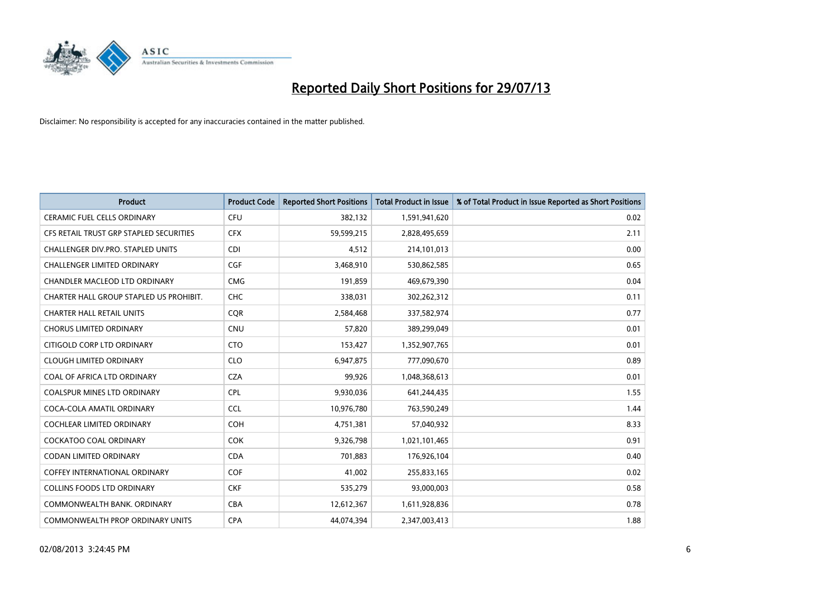

| <b>Product</b>                          | <b>Product Code</b> | <b>Reported Short Positions</b> | <b>Total Product in Issue</b> | % of Total Product in Issue Reported as Short Positions |
|-----------------------------------------|---------------------|---------------------------------|-------------------------------|---------------------------------------------------------|
| <b>CERAMIC FUEL CELLS ORDINARY</b>      | <b>CFU</b>          | 382,132                         | 1,591,941,620                 | 0.02                                                    |
| CFS RETAIL TRUST GRP STAPLED SECURITIES | <b>CFX</b>          | 59,599,215                      | 2,828,495,659                 | 2.11                                                    |
| CHALLENGER DIV.PRO. STAPLED UNITS       | <b>CDI</b>          | 4,512                           | 214,101,013                   | 0.00                                                    |
| <b>CHALLENGER LIMITED ORDINARY</b>      | <b>CGF</b>          | 3,468,910                       | 530,862,585                   | 0.65                                                    |
| CHANDLER MACLEOD LTD ORDINARY           | <b>CMG</b>          | 191,859                         | 469,679,390                   | 0.04                                                    |
| CHARTER HALL GROUP STAPLED US PROHIBIT. | <b>CHC</b>          | 338,031                         | 302,262,312                   | 0.11                                                    |
| <b>CHARTER HALL RETAIL UNITS</b>        | <b>CQR</b>          | 2,584,468                       | 337,582,974                   | 0.77                                                    |
| <b>CHORUS LIMITED ORDINARY</b>          | CNU                 | 57,820                          | 389,299,049                   | 0.01                                                    |
| CITIGOLD CORP LTD ORDINARY              | <b>CTO</b>          | 153,427                         | 1,352,907,765                 | 0.01                                                    |
| <b>CLOUGH LIMITED ORDINARY</b>          | <b>CLO</b>          | 6,947,875                       | 777,090,670                   | 0.89                                                    |
| COAL OF AFRICA LTD ORDINARY             | <b>CZA</b>          | 99,926                          | 1,048,368,613                 | 0.01                                                    |
| <b>COALSPUR MINES LTD ORDINARY</b>      | <b>CPL</b>          | 9,930,036                       | 641,244,435                   | 1.55                                                    |
| COCA-COLA AMATIL ORDINARY               | <b>CCL</b>          | 10,976,780                      | 763,590,249                   | 1.44                                                    |
| <b>COCHLEAR LIMITED ORDINARY</b>        | <b>COH</b>          | 4,751,381                       | 57,040,932                    | 8.33                                                    |
| <b>COCKATOO COAL ORDINARY</b>           | <b>COK</b>          | 9,326,798                       | 1,021,101,465                 | 0.91                                                    |
| <b>CODAN LIMITED ORDINARY</b>           | <b>CDA</b>          | 701,883                         | 176,926,104                   | 0.40                                                    |
| <b>COFFEY INTERNATIONAL ORDINARY</b>    | <b>COF</b>          | 41,002                          | 255,833,165                   | 0.02                                                    |
| <b>COLLINS FOODS LTD ORDINARY</b>       | <b>CKF</b>          | 535,279                         | 93,000,003                    | 0.58                                                    |
| COMMONWEALTH BANK, ORDINARY             | <b>CBA</b>          | 12,612,367                      | 1,611,928,836                 | 0.78                                                    |
| COMMONWEALTH PROP ORDINARY UNITS        | <b>CPA</b>          | 44,074,394                      | 2,347,003,413                 | 1.88                                                    |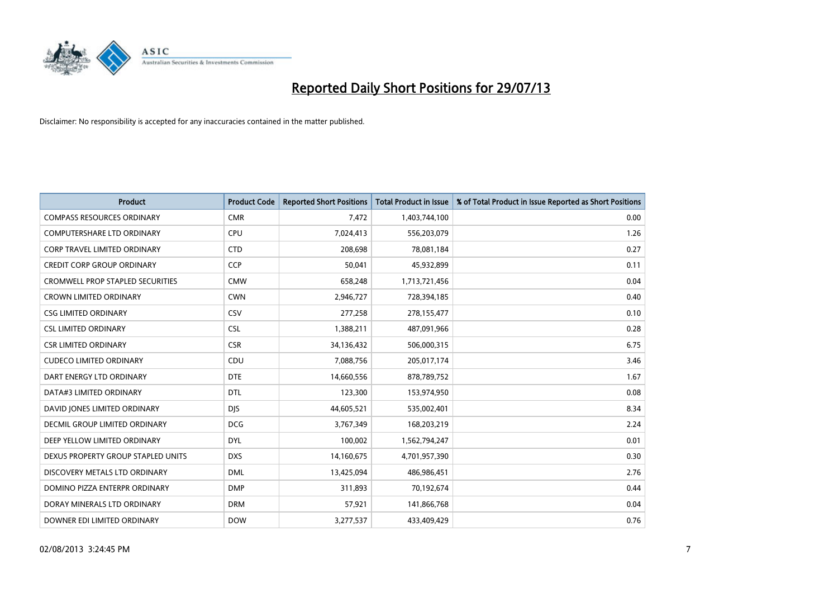

| <b>Product</b>                          | <b>Product Code</b> | <b>Reported Short Positions</b> | <b>Total Product in Issue</b> | % of Total Product in Issue Reported as Short Positions |
|-----------------------------------------|---------------------|---------------------------------|-------------------------------|---------------------------------------------------------|
| <b>COMPASS RESOURCES ORDINARY</b>       | <b>CMR</b>          | 7,472                           | 1,403,744,100                 | 0.00                                                    |
| COMPUTERSHARE LTD ORDINARY              | <b>CPU</b>          | 7,024,413                       | 556,203,079                   | 1.26                                                    |
| <b>CORP TRAVEL LIMITED ORDINARY</b>     | <b>CTD</b>          | 208,698                         | 78,081,184                    | 0.27                                                    |
| <b>CREDIT CORP GROUP ORDINARY</b>       | <b>CCP</b>          | 50,041                          | 45,932,899                    | 0.11                                                    |
| <b>CROMWELL PROP STAPLED SECURITIES</b> | <b>CMW</b>          | 658,248                         | 1,713,721,456                 | 0.04                                                    |
| <b>CROWN LIMITED ORDINARY</b>           | <b>CWN</b>          | 2,946,727                       | 728,394,185                   | 0.40                                                    |
| <b>CSG LIMITED ORDINARY</b>             | CSV                 | 277,258                         | 278,155,477                   | 0.10                                                    |
| <b>CSL LIMITED ORDINARY</b>             | <b>CSL</b>          | 1,388,211                       | 487,091,966                   | 0.28                                                    |
| <b>CSR LIMITED ORDINARY</b>             | <b>CSR</b>          | 34,136,432                      | 506,000,315                   | 6.75                                                    |
| <b>CUDECO LIMITED ORDINARY</b>          | CDU                 | 7,088,756                       | 205,017,174                   | 3.46                                                    |
| DART ENERGY LTD ORDINARY                | <b>DTE</b>          | 14,660,556                      | 878,789,752                   | 1.67                                                    |
| DATA#3 LIMITED ORDINARY                 | <b>DTL</b>          | 123,300                         | 153,974,950                   | 0.08                                                    |
| DAVID JONES LIMITED ORDINARY            | <b>DJS</b>          | 44,605,521                      | 535,002,401                   | 8.34                                                    |
| DECMIL GROUP LIMITED ORDINARY           | <b>DCG</b>          | 3,767,349                       | 168,203,219                   | 2.24                                                    |
| DEEP YELLOW LIMITED ORDINARY            | <b>DYL</b>          | 100,002                         | 1,562,794,247                 | 0.01                                                    |
| DEXUS PROPERTY GROUP STAPLED UNITS      | <b>DXS</b>          | 14,160,675                      | 4,701,957,390                 | 0.30                                                    |
| DISCOVERY METALS LTD ORDINARY           | <b>DML</b>          | 13,425,094                      | 486,986,451                   | 2.76                                                    |
| DOMINO PIZZA ENTERPR ORDINARY           | <b>DMP</b>          | 311,893                         | 70,192,674                    | 0.44                                                    |
| DORAY MINERALS LTD ORDINARY             | <b>DRM</b>          | 57,921                          | 141,866,768                   | 0.04                                                    |
| DOWNER EDI LIMITED ORDINARY             | <b>DOW</b>          | 3,277,537                       | 433,409,429                   | 0.76                                                    |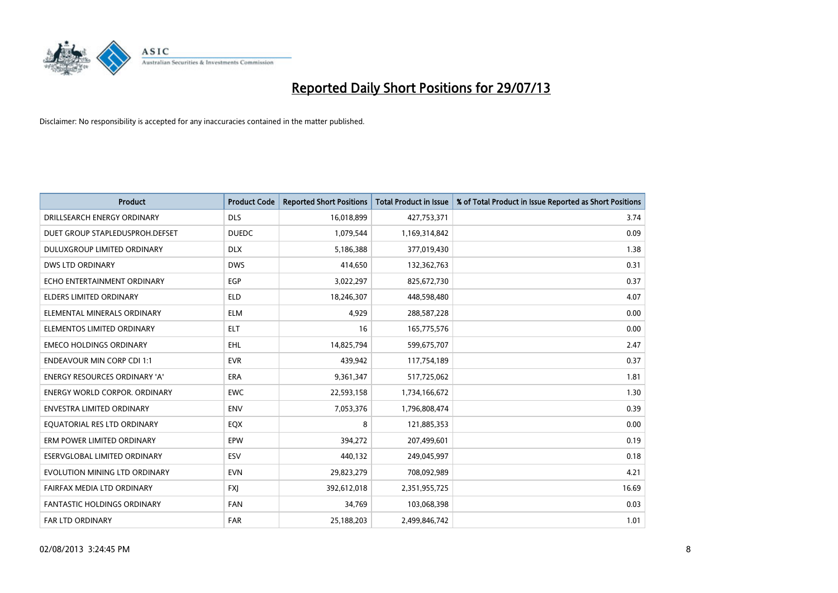

| <b>Product</b>                     | <b>Product Code</b> | <b>Reported Short Positions</b> | <b>Total Product in Issue</b> | % of Total Product in Issue Reported as Short Positions |
|------------------------------------|---------------------|---------------------------------|-------------------------------|---------------------------------------------------------|
| DRILLSEARCH ENERGY ORDINARY        | <b>DLS</b>          | 16,018,899                      | 427,753,371                   | 3.74                                                    |
| DUET GROUP STAPLEDUSPROH.DEFSET    | <b>DUEDC</b>        | 1,079,544                       | 1,169,314,842                 | 0.09                                                    |
| DULUXGROUP LIMITED ORDINARY        | <b>DLX</b>          | 5,186,388                       | 377,019,430                   | 1.38                                                    |
| <b>DWS LTD ORDINARY</b>            | <b>DWS</b>          | 414,650                         | 132,362,763                   | 0.31                                                    |
| ECHO ENTERTAINMENT ORDINARY        | <b>EGP</b>          | 3,022,297                       | 825,672,730                   | 0.37                                                    |
| <b>ELDERS LIMITED ORDINARY</b>     | <b>ELD</b>          | 18,246,307                      | 448,598,480                   | 4.07                                                    |
| ELEMENTAL MINERALS ORDINARY        | <b>ELM</b>          | 4,929                           | 288,587,228                   | 0.00                                                    |
| ELEMENTOS LIMITED ORDINARY         | <b>ELT</b>          | 16                              | 165,775,576                   | 0.00                                                    |
| <b>EMECO HOLDINGS ORDINARY</b>     | <b>EHL</b>          | 14,825,794                      | 599,675,707                   | 2.47                                                    |
| <b>ENDEAVOUR MIN CORP CDI 1:1</b>  | <b>EVR</b>          | 439,942                         | 117,754,189                   | 0.37                                                    |
| ENERGY RESOURCES ORDINARY 'A'      | <b>ERA</b>          | 9,361,347                       | 517,725,062                   | 1.81                                                    |
| ENERGY WORLD CORPOR. ORDINARY      | <b>EWC</b>          | 22,593,158                      | 1,734,166,672                 | 1.30                                                    |
| <b>ENVESTRA LIMITED ORDINARY</b>   | <b>ENV</b>          | 7,053,376                       | 1,796,808,474                 | 0.39                                                    |
| EQUATORIAL RES LTD ORDINARY        | EQX                 | 8                               | 121,885,353                   | 0.00                                                    |
| ERM POWER LIMITED ORDINARY         | EPW                 | 394,272                         | 207,499,601                   | 0.19                                                    |
| ESERVGLOBAL LIMITED ORDINARY       | ESV                 | 440,132                         | 249,045,997                   | 0.18                                                    |
| EVOLUTION MINING LTD ORDINARY      | <b>EVN</b>          | 29,823,279                      | 708,092,989                   | 4.21                                                    |
| FAIRFAX MEDIA LTD ORDINARY         | <b>FXI</b>          | 392,612,018                     | 2,351,955,725                 | 16.69                                                   |
| <b>FANTASTIC HOLDINGS ORDINARY</b> | <b>FAN</b>          | 34,769                          | 103,068,398                   | 0.03                                                    |
| <b>FAR LTD ORDINARY</b>            | <b>FAR</b>          | 25,188,203                      | 2,499,846,742                 | 1.01                                                    |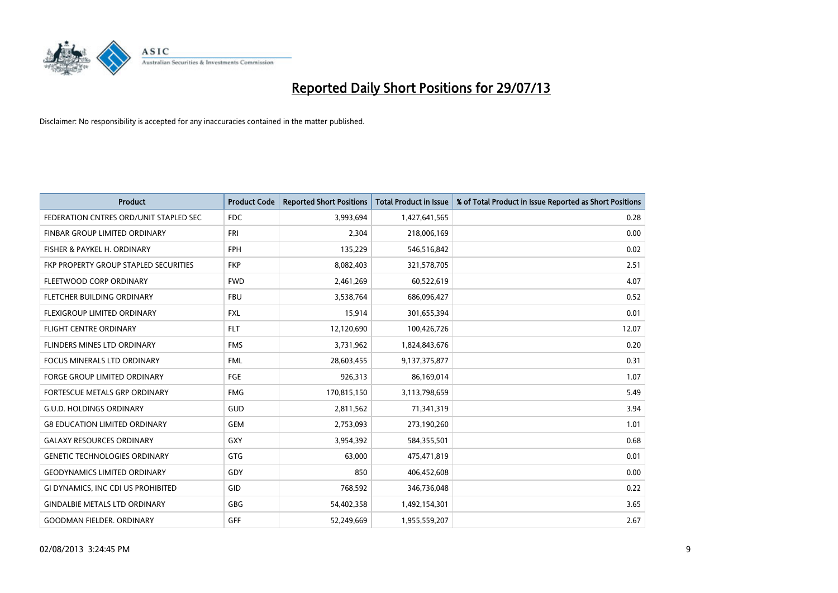

| <b>Product</b>                         | <b>Product Code</b> | <b>Reported Short Positions</b> | <b>Total Product in Issue</b> | % of Total Product in Issue Reported as Short Positions |
|----------------------------------------|---------------------|---------------------------------|-------------------------------|---------------------------------------------------------|
| FEDERATION CNTRES ORD/UNIT STAPLED SEC | FDC                 | 3,993,694                       | 1,427,641,565                 | 0.28                                                    |
| FINBAR GROUP LIMITED ORDINARY          | FRI                 | 2,304                           | 218,006,169                   | 0.00                                                    |
| FISHER & PAYKEL H. ORDINARY            | <b>FPH</b>          | 135,229                         | 546,516,842                   | 0.02                                                    |
| FKP PROPERTY GROUP STAPLED SECURITIES  | <b>FKP</b>          | 8,082,403                       | 321,578,705                   | 2.51                                                    |
| FLEETWOOD CORP ORDINARY                | <b>FWD</b>          | 2,461,269                       | 60,522,619                    | 4.07                                                    |
| FLETCHER BUILDING ORDINARY             | <b>FBU</b>          | 3,538,764                       | 686,096,427                   | 0.52                                                    |
| <b>FLEXIGROUP LIMITED ORDINARY</b>     | <b>FXL</b>          | 15,914                          | 301,655,394                   | 0.01                                                    |
| FLIGHT CENTRE ORDINARY                 | <b>FLT</b>          | 12,120,690                      | 100,426,726                   | 12.07                                                   |
| FLINDERS MINES LTD ORDINARY            | <b>FMS</b>          | 3,731,962                       | 1,824,843,676                 | 0.20                                                    |
| <b>FOCUS MINERALS LTD ORDINARY</b>     | <b>FML</b>          | 28,603,455                      | 9,137,375,877                 | 0.31                                                    |
| FORGE GROUP LIMITED ORDINARY           | FGE                 | 926,313                         | 86,169,014                    | 1.07                                                    |
| <b>FORTESCUE METALS GRP ORDINARY</b>   | <b>FMG</b>          | 170,815,150                     | 3,113,798,659                 | 5.49                                                    |
| <b>G.U.D. HOLDINGS ORDINARY</b>        | GUD                 | 2,811,562                       | 71,341,319                    | 3.94                                                    |
| <b>G8 EDUCATION LIMITED ORDINARY</b>   | GEM                 | 2,753,093                       | 273,190,260                   | 1.01                                                    |
| <b>GALAXY RESOURCES ORDINARY</b>       | <b>GXY</b>          | 3,954,392                       | 584,355,501                   | 0.68                                                    |
| <b>GENETIC TECHNOLOGIES ORDINARY</b>   | GTG                 | 63,000                          | 475,471,819                   | 0.01                                                    |
| <b>GEODYNAMICS LIMITED ORDINARY</b>    | GDY                 | 850                             | 406,452,608                   | 0.00                                                    |
| GI DYNAMICS, INC CDI US PROHIBITED     | <b>GID</b>          | 768,592                         | 346,736,048                   | 0.22                                                    |
| <b>GINDALBIE METALS LTD ORDINARY</b>   | GBG                 | 54,402,358                      | 1,492,154,301                 | 3.65                                                    |
| <b>GOODMAN FIELDER. ORDINARY</b>       | GFF                 | 52,249,669                      | 1,955,559,207                 | 2.67                                                    |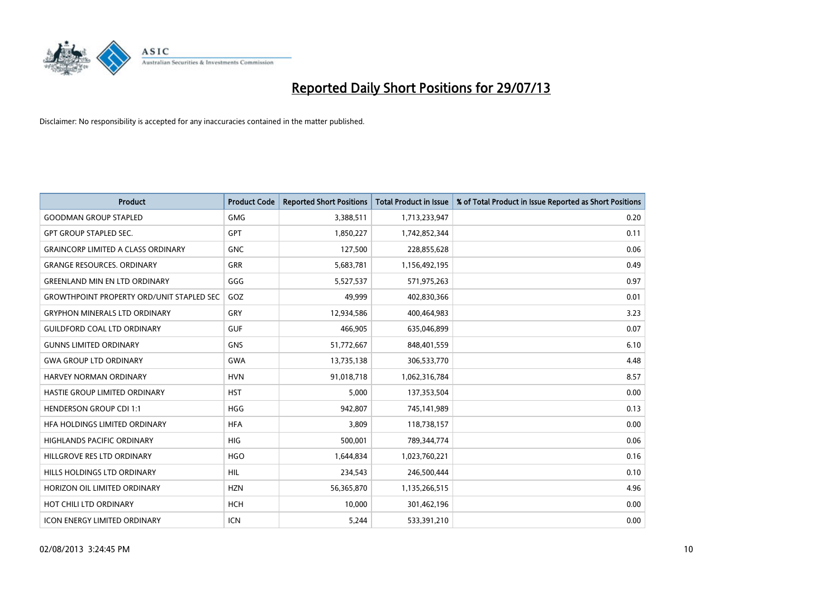

| <b>Product</b>                                   | <b>Product Code</b> | <b>Reported Short Positions</b> | <b>Total Product in Issue</b> | % of Total Product in Issue Reported as Short Positions |
|--------------------------------------------------|---------------------|---------------------------------|-------------------------------|---------------------------------------------------------|
| <b>GOODMAN GROUP STAPLED</b>                     | <b>GMG</b>          | 3,388,511                       | 1,713,233,947                 | 0.20                                                    |
| <b>GPT GROUP STAPLED SEC.</b>                    | <b>GPT</b>          | 1,850,227                       | 1,742,852,344                 | 0.11                                                    |
| <b>GRAINCORP LIMITED A CLASS ORDINARY</b>        | <b>GNC</b>          | 127,500                         | 228,855,628                   | 0.06                                                    |
| <b>GRANGE RESOURCES, ORDINARY</b>                | <b>GRR</b>          | 5,683,781                       | 1,156,492,195                 | 0.49                                                    |
| <b>GREENLAND MIN EN LTD ORDINARY</b>             | GGG                 | 5,527,537                       | 571,975,263                   | 0.97                                                    |
| <b>GROWTHPOINT PROPERTY ORD/UNIT STAPLED SEC</b> | GOZ                 | 49,999                          | 402,830,366                   | 0.01                                                    |
| <b>GRYPHON MINERALS LTD ORDINARY</b>             | <b>GRY</b>          | 12,934,586                      | 400,464,983                   | 3.23                                                    |
| <b>GUILDFORD COAL LTD ORDINARY</b>               | <b>GUF</b>          | 466,905                         | 635,046,899                   | 0.07                                                    |
| <b>GUNNS LIMITED ORDINARY</b>                    | <b>GNS</b>          | 51,772,667                      | 848,401,559                   | 6.10                                                    |
| <b>GWA GROUP LTD ORDINARY</b>                    | <b>GWA</b>          | 13,735,138                      | 306,533,770                   | 4.48                                                    |
| HARVEY NORMAN ORDINARY                           | <b>HVN</b>          | 91,018,718                      | 1,062,316,784                 | 8.57                                                    |
| HASTIE GROUP LIMITED ORDINARY                    | <b>HST</b>          | 5,000                           | 137,353,504                   | 0.00                                                    |
| <b>HENDERSON GROUP CDI 1:1</b>                   | <b>HGG</b>          | 942,807                         | 745,141,989                   | 0.13                                                    |
| HEA HOLDINGS LIMITED ORDINARY                    | <b>HFA</b>          | 3,809                           | 118,738,157                   | 0.00                                                    |
| HIGHLANDS PACIFIC ORDINARY                       | <b>HIG</b>          | 500,001                         | 789,344,774                   | 0.06                                                    |
| HILLGROVE RES LTD ORDINARY                       | <b>HGO</b>          | 1,644,834                       | 1,023,760,221                 | 0.16                                                    |
| HILLS HOLDINGS LTD ORDINARY                      | <b>HIL</b>          | 234,543                         | 246,500,444                   | 0.10                                                    |
| HORIZON OIL LIMITED ORDINARY                     | <b>HZN</b>          | 56,365,870                      | 1,135,266,515                 | 4.96                                                    |
| HOT CHILI LTD ORDINARY                           | <b>HCH</b>          | 10,000                          | 301,462,196                   | 0.00                                                    |
| <b>ICON ENERGY LIMITED ORDINARY</b>              | <b>ICN</b>          | 5,244                           | 533,391,210                   | 0.00                                                    |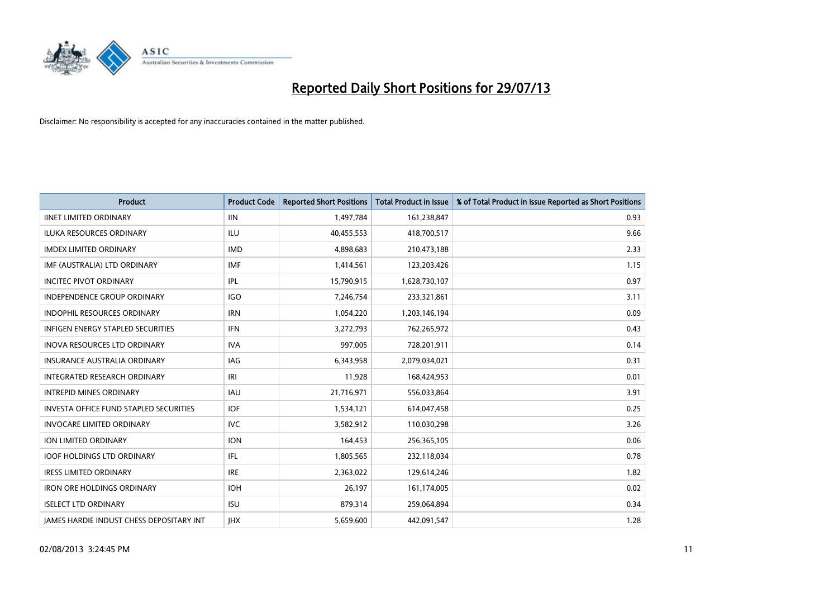

| <b>Product</b>                                  | <b>Product Code</b> | <b>Reported Short Positions</b> | <b>Total Product in Issue</b> | % of Total Product in Issue Reported as Short Positions |
|-------------------------------------------------|---------------------|---------------------------------|-------------------------------|---------------------------------------------------------|
| <b>IINET LIMITED ORDINARY</b>                   | <b>IIN</b>          | 1,497,784                       | 161,238,847                   | 0.93                                                    |
| ILUKA RESOURCES ORDINARY                        | ILU                 | 40,455,553                      | 418,700,517                   | 9.66                                                    |
| <b>IMDEX LIMITED ORDINARY</b>                   | <b>IMD</b>          | 4,898,683                       | 210,473,188                   | 2.33                                                    |
| IMF (AUSTRALIA) LTD ORDINARY                    | <b>IMF</b>          | 1,414,561                       | 123,203,426                   | 1.15                                                    |
| <b>INCITEC PIVOT ORDINARY</b>                   | IPL                 | 15,790,915                      | 1,628,730,107                 | 0.97                                                    |
| INDEPENDENCE GROUP ORDINARY                     | <b>IGO</b>          | 7,246,754                       | 233,321,861                   | 3.11                                                    |
| <b>INDOPHIL RESOURCES ORDINARY</b>              | <b>IRN</b>          | 1,054,220                       | 1,203,146,194                 | 0.09                                                    |
| <b>INFIGEN ENERGY STAPLED SECURITIES</b>        | <b>IFN</b>          | 3,272,793                       | 762,265,972                   | 0.43                                                    |
| INOVA RESOURCES LTD ORDINARY                    | <b>IVA</b>          | 997,005                         | 728,201,911                   | 0.14                                                    |
| INSURANCE AUSTRALIA ORDINARY                    | <b>IAG</b>          | 6,343,958                       | 2,079,034,021                 | 0.31                                                    |
| INTEGRATED RESEARCH ORDINARY                    | IRI                 | 11,928                          | 168,424,953                   | 0.01                                                    |
| <b>INTREPID MINES ORDINARY</b>                  | <b>IAU</b>          | 21,716,971                      | 556,033,864                   | 3.91                                                    |
| INVESTA OFFICE FUND STAPLED SECURITIES          | <b>IOF</b>          | 1,534,121                       | 614,047,458                   | 0.25                                                    |
| <b>INVOCARE LIMITED ORDINARY</b>                | <b>IVC</b>          | 3,582,912                       | 110,030,298                   | 3.26                                                    |
| ION LIMITED ORDINARY                            | <b>ION</b>          | 164,453                         | 256,365,105                   | 0.06                                                    |
| <b>IOOF HOLDINGS LTD ORDINARY</b>               | IFL                 | 1,805,565                       | 232,118,034                   | 0.78                                                    |
| <b>IRESS LIMITED ORDINARY</b>                   | <b>IRE</b>          | 2,363,022                       | 129,614,246                   | 1.82                                                    |
| <b>IRON ORE HOLDINGS ORDINARY</b>               | <b>IOH</b>          | 26,197                          | 161,174,005                   | 0.02                                                    |
| <b>ISELECT LTD ORDINARY</b>                     | <b>ISU</b>          | 879,314                         | 259,064,894                   | 0.34                                                    |
| <b>IAMES HARDIE INDUST CHESS DEPOSITARY INT</b> | <b>IHX</b>          | 5,659,600                       | 442,091,547                   | 1.28                                                    |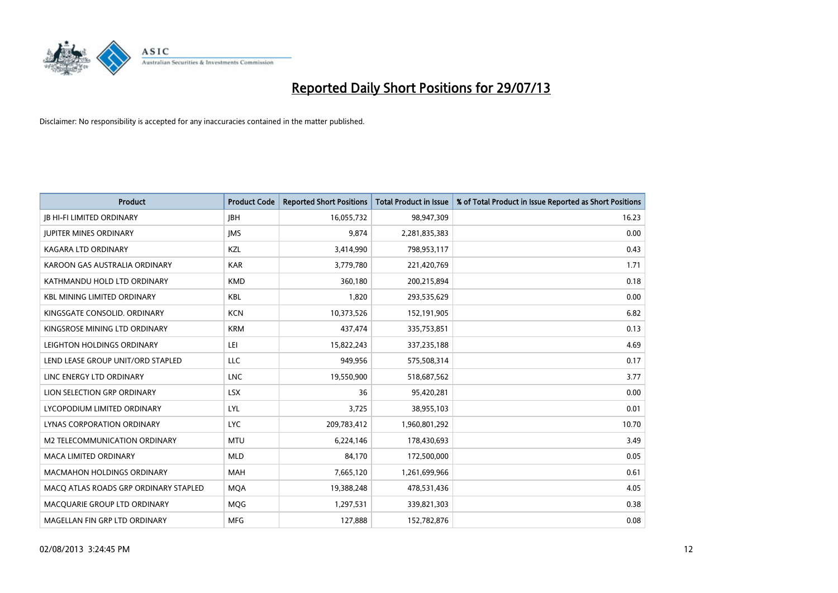

| <b>Product</b>                        | <b>Product Code</b> | <b>Reported Short Positions</b> | <b>Total Product in Issue</b> | % of Total Product in Issue Reported as Short Positions |
|---------------------------------------|---------------------|---------------------------------|-------------------------------|---------------------------------------------------------|
| <b>JB HI-FI LIMITED ORDINARY</b>      | <b>JBH</b>          | 16,055,732                      | 98,947,309                    | 16.23                                                   |
| <b>JUPITER MINES ORDINARY</b>         | <b>IMS</b>          | 9,874                           | 2,281,835,383                 | 0.00                                                    |
| <b>KAGARA LTD ORDINARY</b>            | KZL                 | 3,414,990                       | 798,953,117                   | 0.43                                                    |
| KAROON GAS AUSTRALIA ORDINARY         | <b>KAR</b>          | 3,779,780                       | 221,420,769                   | 1.71                                                    |
| KATHMANDU HOLD LTD ORDINARY           | <b>KMD</b>          | 360,180                         | 200,215,894                   | 0.18                                                    |
| <b>KBL MINING LIMITED ORDINARY</b>    | KBL                 | 1,820                           | 293,535,629                   | 0.00                                                    |
| KINGSGATE CONSOLID. ORDINARY          | <b>KCN</b>          | 10,373,526                      | 152,191,905                   | 6.82                                                    |
| KINGSROSE MINING LTD ORDINARY         | <b>KRM</b>          | 437,474                         | 335,753,851                   | 0.13                                                    |
| LEIGHTON HOLDINGS ORDINARY            | LEI                 | 15,822,243                      | 337,235,188                   | 4.69                                                    |
| LEND LEASE GROUP UNIT/ORD STAPLED     | <b>LLC</b>          | 949,956                         | 575,508,314                   | 0.17                                                    |
| LINC ENERGY LTD ORDINARY              | <b>LNC</b>          | 19,550,900                      | 518,687,562                   | 3.77                                                    |
| LION SELECTION GRP ORDINARY           | <b>LSX</b>          | 36                              | 95,420,281                    | 0.00                                                    |
| LYCOPODIUM LIMITED ORDINARY           | <b>LYL</b>          | 3,725                           | 38,955,103                    | 0.01                                                    |
| <b>LYNAS CORPORATION ORDINARY</b>     | <b>LYC</b>          | 209,783,412                     | 1,960,801,292                 | 10.70                                                   |
| M2 TELECOMMUNICATION ORDINARY         | <b>MTU</b>          | 6,224,146                       | 178,430,693                   | 3.49                                                    |
| MACA LIMITED ORDINARY                 | <b>MLD</b>          | 84,170                          | 172,500,000                   | 0.05                                                    |
| MACMAHON HOLDINGS ORDINARY            | MAH                 | 7,665,120                       | 1,261,699,966                 | 0.61                                                    |
| MACO ATLAS ROADS GRP ORDINARY STAPLED | <b>MOA</b>          | 19,388,248                      | 478,531,436                   | 4.05                                                    |
| MACQUARIE GROUP LTD ORDINARY          | <b>MQG</b>          | 1,297,531                       | 339,821,303                   | 0.38                                                    |
| MAGELLAN FIN GRP LTD ORDINARY         | MFG                 | 127,888                         | 152,782,876                   | 0.08                                                    |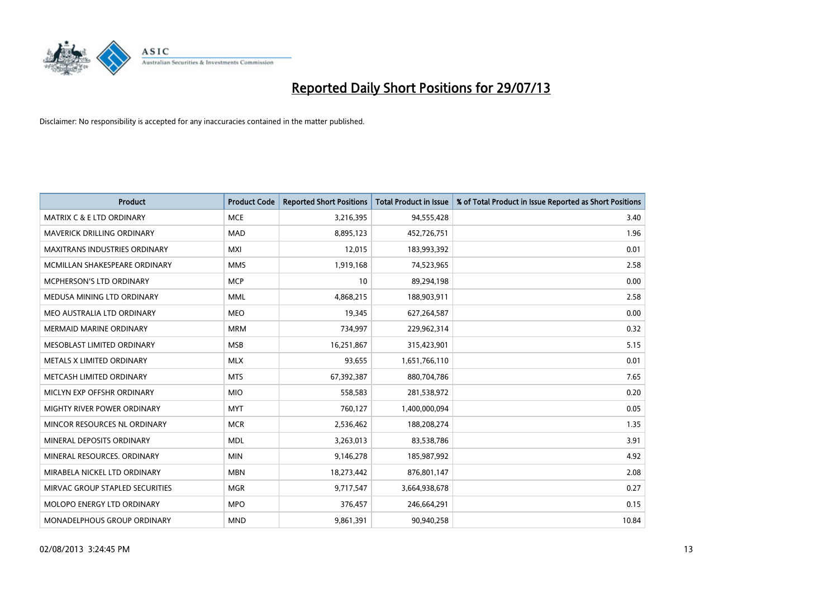

| <b>Product</b>                       | <b>Product Code</b> | <b>Reported Short Positions</b> | <b>Total Product in Issue</b> | % of Total Product in Issue Reported as Short Positions |
|--------------------------------------|---------------------|---------------------------------|-------------------------------|---------------------------------------------------------|
| <b>MATRIX C &amp; E LTD ORDINARY</b> | <b>MCE</b>          | 3,216,395                       | 94,555,428                    | 3.40                                                    |
| MAVERICK DRILLING ORDINARY           | <b>MAD</b>          | 8,895,123                       | 452,726,751                   | 1.96                                                    |
| <b>MAXITRANS INDUSTRIES ORDINARY</b> | <b>MXI</b>          | 12,015                          | 183,993,392                   | 0.01                                                    |
| MCMILLAN SHAKESPEARE ORDINARY        | <b>MMS</b>          | 1,919,168                       | 74,523,965                    | 2.58                                                    |
| <b>MCPHERSON'S LTD ORDINARY</b>      | <b>MCP</b>          | 10                              | 89,294,198                    | 0.00                                                    |
| MEDUSA MINING LTD ORDINARY           | <b>MML</b>          | 4,868,215                       | 188,903,911                   | 2.58                                                    |
| MEO AUSTRALIA LTD ORDINARY           | <b>MEO</b>          | 19,345                          | 627,264,587                   | 0.00                                                    |
| <b>MERMAID MARINE ORDINARY</b>       | <b>MRM</b>          | 734,997                         | 229,962,314                   | 0.32                                                    |
| MESOBLAST LIMITED ORDINARY           | <b>MSB</b>          | 16,251,867                      | 315,423,901                   | 5.15                                                    |
| METALS X LIMITED ORDINARY            | <b>MLX</b>          | 93,655                          | 1,651,766,110                 | 0.01                                                    |
| METCASH LIMITED ORDINARY             | <b>MTS</b>          | 67,392,387                      | 880,704,786                   | 7.65                                                    |
| MICLYN EXP OFFSHR ORDINARY           | <b>MIO</b>          | 558,583                         | 281,538,972                   | 0.20                                                    |
| MIGHTY RIVER POWER ORDINARY          | <b>MYT</b>          | 760,127                         | 1,400,000,094                 | 0.05                                                    |
| MINCOR RESOURCES NL ORDINARY         | <b>MCR</b>          | 2,536,462                       | 188,208,274                   | 1.35                                                    |
| MINERAL DEPOSITS ORDINARY            | <b>MDL</b>          | 3,263,013                       | 83,538,786                    | 3.91                                                    |
| MINERAL RESOURCES. ORDINARY          | <b>MIN</b>          | 9,146,278                       | 185,987,992                   | 4.92                                                    |
| MIRABELA NICKEL LTD ORDINARY         | <b>MBN</b>          | 18,273,442                      | 876,801,147                   | 2.08                                                    |
| MIRVAC GROUP STAPLED SECURITIES      | <b>MGR</b>          | 9,717,547                       | 3,664,938,678                 | 0.27                                                    |
| MOLOPO ENERGY LTD ORDINARY           | <b>MPO</b>          | 376,457                         | 246,664,291                   | 0.15                                                    |
| MONADELPHOUS GROUP ORDINARY          | <b>MND</b>          | 9,861,391                       | 90,940,258                    | 10.84                                                   |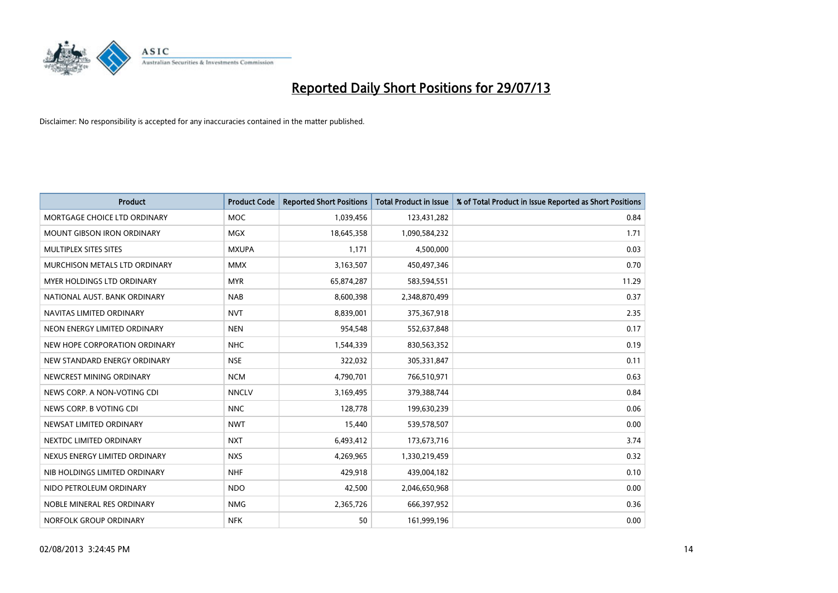

| <b>Product</b>                    | <b>Product Code</b> | <b>Reported Short Positions</b> | <b>Total Product in Issue</b> | % of Total Product in Issue Reported as Short Positions |
|-----------------------------------|---------------------|---------------------------------|-------------------------------|---------------------------------------------------------|
| MORTGAGE CHOICE LTD ORDINARY      | <b>MOC</b>          | 1,039,456                       | 123,431,282                   | 0.84                                                    |
| <b>MOUNT GIBSON IRON ORDINARY</b> | <b>MGX</b>          | 18,645,358                      | 1,090,584,232                 | 1.71                                                    |
| MULTIPLEX SITES SITES             | <b>MXUPA</b>        | 1,171                           | 4,500,000                     | 0.03                                                    |
| MURCHISON METALS LTD ORDINARY     | <b>MMX</b>          | 3,163,507                       | 450,497,346                   | 0.70                                                    |
| MYER HOLDINGS LTD ORDINARY        | <b>MYR</b>          | 65,874,287                      | 583,594,551                   | 11.29                                                   |
| NATIONAL AUST, BANK ORDINARY      | <b>NAB</b>          | 8,600,398                       | 2,348,870,499                 | 0.37                                                    |
| NAVITAS LIMITED ORDINARY          | <b>NVT</b>          | 8,839,001                       | 375,367,918                   | 2.35                                                    |
| NEON ENERGY LIMITED ORDINARY      | <b>NEN</b>          | 954,548                         | 552,637,848                   | 0.17                                                    |
| NEW HOPE CORPORATION ORDINARY     | <b>NHC</b>          | 1,544,339                       | 830,563,352                   | 0.19                                                    |
| NEW STANDARD ENERGY ORDINARY      | <b>NSE</b>          | 322,032                         | 305,331,847                   | 0.11                                                    |
| NEWCREST MINING ORDINARY          | <b>NCM</b>          | 4,790,701                       | 766,510,971                   | 0.63                                                    |
| NEWS CORP. A NON-VOTING CDI       | <b>NNCLV</b>        | 3,169,495                       | 379,388,744                   | 0.84                                                    |
| NEWS CORP. B VOTING CDI           | <b>NNC</b>          | 128,778                         | 199,630,239                   | 0.06                                                    |
| NEWSAT LIMITED ORDINARY           | <b>NWT</b>          | 15,440                          | 539,578,507                   | 0.00                                                    |
| NEXTDC LIMITED ORDINARY           | <b>NXT</b>          | 6,493,412                       | 173,673,716                   | 3.74                                                    |
| NEXUS ENERGY LIMITED ORDINARY     | <b>NXS</b>          | 4,269,965                       | 1,330,219,459                 | 0.32                                                    |
| NIB HOLDINGS LIMITED ORDINARY     | <b>NHF</b>          | 429,918                         | 439,004,182                   | 0.10                                                    |
| NIDO PETROLEUM ORDINARY           | <b>NDO</b>          | 42,500                          | 2,046,650,968                 | 0.00                                                    |
| NOBLE MINERAL RES ORDINARY        | <b>NMG</b>          | 2,365,726                       | 666,397,952                   | 0.36                                                    |
| NORFOLK GROUP ORDINARY            | <b>NFK</b>          | 50                              | 161,999,196                   | 0.00                                                    |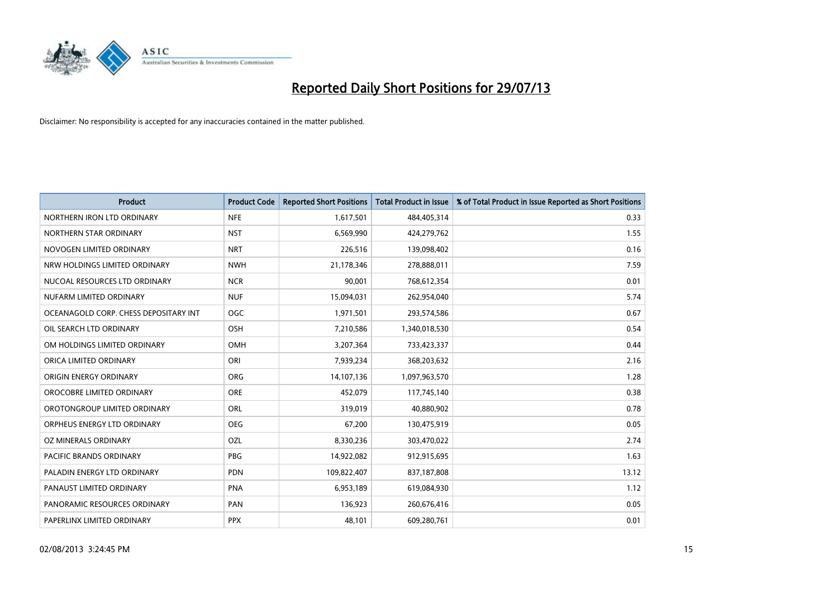

| <b>Product</b>                        | <b>Product Code</b> | <b>Reported Short Positions</b> | <b>Total Product in Issue</b> | % of Total Product in Issue Reported as Short Positions |
|---------------------------------------|---------------------|---------------------------------|-------------------------------|---------------------------------------------------------|
| NORTHERN IRON LTD ORDINARY            | <b>NFE</b>          | 1,617,501                       | 484,405,314                   | 0.33                                                    |
| NORTHERN STAR ORDINARY                | <b>NST</b>          | 6,569,990                       | 424,279,762                   | 1.55                                                    |
| NOVOGEN LIMITED ORDINARY              | <b>NRT</b>          | 226,516                         | 139,098,402                   | 0.16                                                    |
| NRW HOLDINGS LIMITED ORDINARY         | <b>NWH</b>          | 21,178,346                      | 278,888,011                   | 7.59                                                    |
| NUCOAL RESOURCES LTD ORDINARY         | <b>NCR</b>          | 90,001                          | 768,612,354                   | 0.01                                                    |
| NUFARM LIMITED ORDINARY               | <b>NUF</b>          | 15,094,031                      | 262,954,040                   | 5.74                                                    |
| OCEANAGOLD CORP. CHESS DEPOSITARY INT | <b>OGC</b>          | 1,971,501                       | 293,574,586                   | 0.67                                                    |
| OIL SEARCH LTD ORDINARY               | OSH                 | 7,210,586                       | 1,340,018,530                 | 0.54                                                    |
| OM HOLDINGS LIMITED ORDINARY          | OMH                 | 3,207,364                       | 733,423,337                   | 0.44                                                    |
| ORICA LIMITED ORDINARY                | ORI                 | 7,939,234                       | 368,203,632                   | 2.16                                                    |
| ORIGIN ENERGY ORDINARY                | <b>ORG</b>          | 14,107,136                      | 1,097,963,570                 | 1.28                                                    |
| OROCOBRE LIMITED ORDINARY             | <b>ORE</b>          | 452,079                         | 117,745,140                   | 0.38                                                    |
| OROTONGROUP LIMITED ORDINARY          | ORL                 | 319,019                         | 40,880,902                    | 0.78                                                    |
| ORPHEUS ENERGY LTD ORDINARY           | <b>OEG</b>          | 67,200                          | 130,475,919                   | 0.05                                                    |
| <b>OZ MINERALS ORDINARY</b>           | <b>OZL</b>          | 8,330,236                       | 303,470,022                   | 2.74                                                    |
| PACIFIC BRANDS ORDINARY               | <b>PBG</b>          | 14,922,082                      | 912,915,695                   | 1.63                                                    |
| PALADIN ENERGY LTD ORDINARY           | <b>PDN</b>          | 109,822,407                     | 837,187,808                   | 13.12                                                   |
| PANAUST LIMITED ORDINARY              | <b>PNA</b>          | 6,953,189                       | 619,084,930                   | 1.12                                                    |
| PANORAMIC RESOURCES ORDINARY          | PAN                 | 136,923                         | 260,676,416                   | 0.05                                                    |
| PAPERLINX LIMITED ORDINARY            | <b>PPX</b>          | 48,101                          | 609,280,761                   | 0.01                                                    |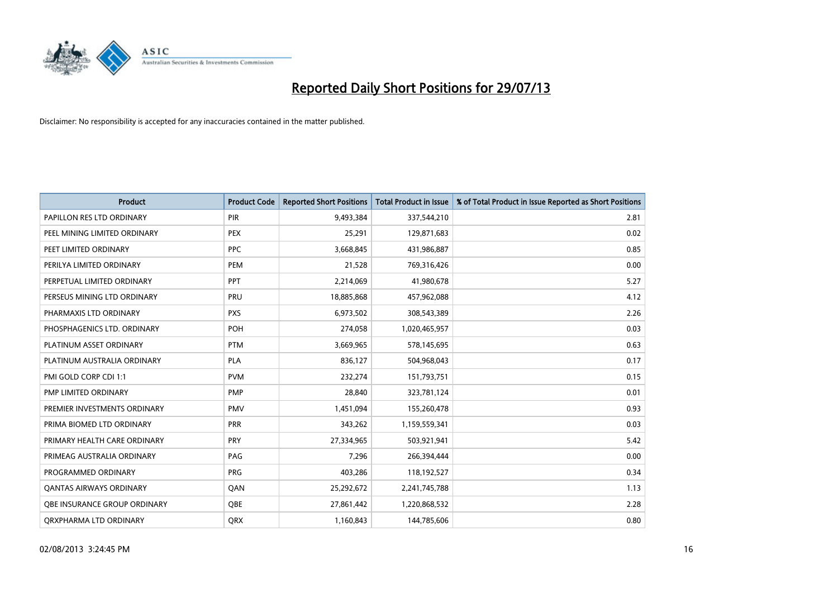

| <b>Product</b>                 | <b>Product Code</b> | <b>Reported Short Positions</b> | <b>Total Product in Issue</b> | % of Total Product in Issue Reported as Short Positions |
|--------------------------------|---------------------|---------------------------------|-------------------------------|---------------------------------------------------------|
| PAPILLON RES LTD ORDINARY      | <b>PIR</b>          | 9,493,384                       | 337,544,210                   | 2.81                                                    |
| PEEL MINING LIMITED ORDINARY   | <b>PEX</b>          | 25,291                          | 129,871,683                   | 0.02                                                    |
| PEET LIMITED ORDINARY          | <b>PPC</b>          | 3,668,845                       | 431,986,887                   | 0.85                                                    |
| PERILYA LIMITED ORDINARY       | PEM                 | 21,528                          | 769,316,426                   | 0.00                                                    |
| PERPETUAL LIMITED ORDINARY     | <b>PPT</b>          | 2,214,069                       | 41,980,678                    | 5.27                                                    |
| PERSEUS MINING LTD ORDINARY    | PRU                 | 18,885,868                      | 457,962,088                   | 4.12                                                    |
| PHARMAXIS LTD ORDINARY         | <b>PXS</b>          | 6,973,502                       | 308,543,389                   | 2.26                                                    |
| PHOSPHAGENICS LTD. ORDINARY    | <b>POH</b>          | 274,058                         | 1,020,465,957                 | 0.03                                                    |
| PLATINUM ASSET ORDINARY        | <b>PTM</b>          | 3,669,965                       | 578,145,695                   | 0.63                                                    |
| PLATINUM AUSTRALIA ORDINARY    | PLA                 | 836,127                         | 504,968,043                   | 0.17                                                    |
| PMI GOLD CORP CDI 1:1          | <b>PVM</b>          | 232,274                         | 151,793,751                   | 0.15                                                    |
| PMP LIMITED ORDINARY           | <b>PMP</b>          | 28,840                          | 323,781,124                   | 0.01                                                    |
| PREMIER INVESTMENTS ORDINARY   | <b>PMV</b>          | 1,451,094                       | 155,260,478                   | 0.93                                                    |
| PRIMA BIOMED LTD ORDINARY      | <b>PRR</b>          | 343,262                         | 1,159,559,341                 | 0.03                                                    |
| PRIMARY HEALTH CARE ORDINARY   | <b>PRY</b>          | 27,334,965                      | 503,921,941                   | 5.42                                                    |
| PRIMEAG AUSTRALIA ORDINARY     | PAG                 | 7,296                           | 266,394,444                   | 0.00                                                    |
| PROGRAMMED ORDINARY            | <b>PRG</b>          | 403,286                         | 118,192,527                   | 0.34                                                    |
| <b>OANTAS AIRWAYS ORDINARY</b> | QAN                 | 25,292,672                      | 2,241,745,788                 | 1.13                                                    |
| OBE INSURANCE GROUP ORDINARY   | <b>OBE</b>          | 27,861,442                      | 1,220,868,532                 | 2.28                                                    |
| ORXPHARMA LTD ORDINARY         | QRX                 | 1,160,843                       | 144,785,606                   | 0.80                                                    |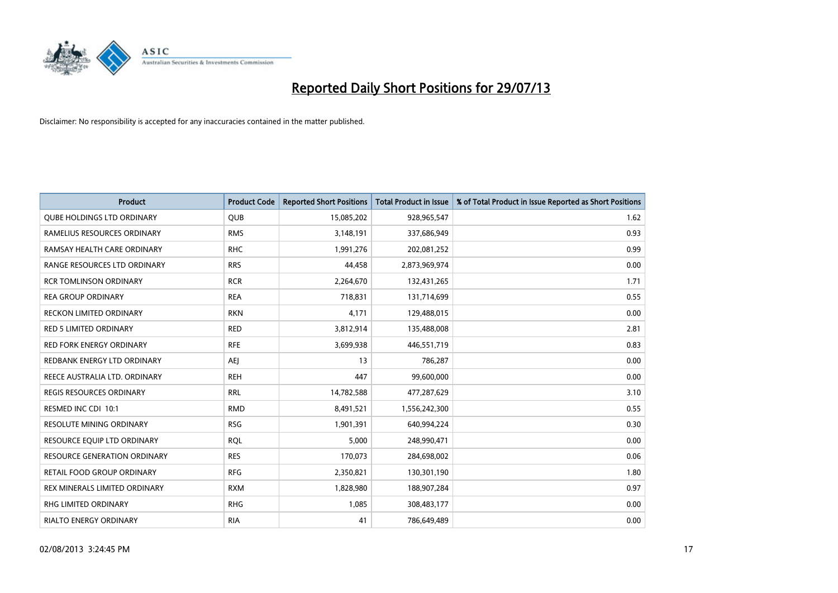

| <b>Product</b>                      | <b>Product Code</b> | <b>Reported Short Positions</b> | <b>Total Product in Issue</b> | % of Total Product in Issue Reported as Short Positions |
|-------------------------------------|---------------------|---------------------------------|-------------------------------|---------------------------------------------------------|
| <b>QUBE HOLDINGS LTD ORDINARY</b>   | <b>QUB</b>          | 15,085,202                      | 928,965,547                   | 1.62                                                    |
| RAMELIUS RESOURCES ORDINARY         | <b>RMS</b>          | 3,148,191                       | 337,686,949                   | 0.93                                                    |
| RAMSAY HEALTH CARE ORDINARY         | <b>RHC</b>          | 1,991,276                       | 202,081,252                   | 0.99                                                    |
| RANGE RESOURCES LTD ORDINARY        | <b>RRS</b>          | 44,458                          | 2,873,969,974                 | 0.00                                                    |
| <b>RCR TOMLINSON ORDINARY</b>       | <b>RCR</b>          | 2,264,670                       | 132,431,265                   | 1.71                                                    |
| <b>REA GROUP ORDINARY</b>           | <b>REA</b>          | 718,831                         | 131,714,699                   | 0.55                                                    |
| <b>RECKON LIMITED ORDINARY</b>      | <b>RKN</b>          | 4,171                           | 129,488,015                   | 0.00                                                    |
| RED 5 LIMITED ORDINARY              | <b>RED</b>          | 3,812,914                       | 135,488,008                   | 2.81                                                    |
| <b>RED FORK ENERGY ORDINARY</b>     | <b>RFE</b>          | 3,699,938                       | 446,551,719                   | 0.83                                                    |
| REDBANK ENERGY LTD ORDINARY         | AEJ                 | 13                              | 786,287                       | 0.00                                                    |
| REECE AUSTRALIA LTD. ORDINARY       | <b>REH</b>          | 447                             | 99,600,000                    | 0.00                                                    |
| REGIS RESOURCES ORDINARY            | <b>RRL</b>          | 14,782,588                      | 477,287,629                   | 3.10                                                    |
| RESMED INC CDI 10:1                 | <b>RMD</b>          | 8,491,521                       | 1,556,242,300                 | 0.55                                                    |
| <b>RESOLUTE MINING ORDINARY</b>     | <b>RSG</b>          | 1,901,391                       | 640,994,224                   | 0.30                                                    |
| RESOURCE EQUIP LTD ORDINARY         | <b>RQL</b>          | 5,000                           | 248,990,471                   | 0.00                                                    |
| <b>RESOURCE GENERATION ORDINARY</b> | <b>RES</b>          | 170,073                         | 284,698,002                   | 0.06                                                    |
| RETAIL FOOD GROUP ORDINARY          | <b>RFG</b>          | 2,350,821                       | 130,301,190                   | 1.80                                                    |
| REX MINERALS LIMITED ORDINARY       | <b>RXM</b>          | 1,828,980                       | 188,907,284                   | 0.97                                                    |
| RHG LIMITED ORDINARY                | <b>RHG</b>          | 1,085                           | 308,483,177                   | 0.00                                                    |
| <b>RIALTO ENERGY ORDINARY</b>       | <b>RIA</b>          | 41                              | 786,649,489                   | 0.00                                                    |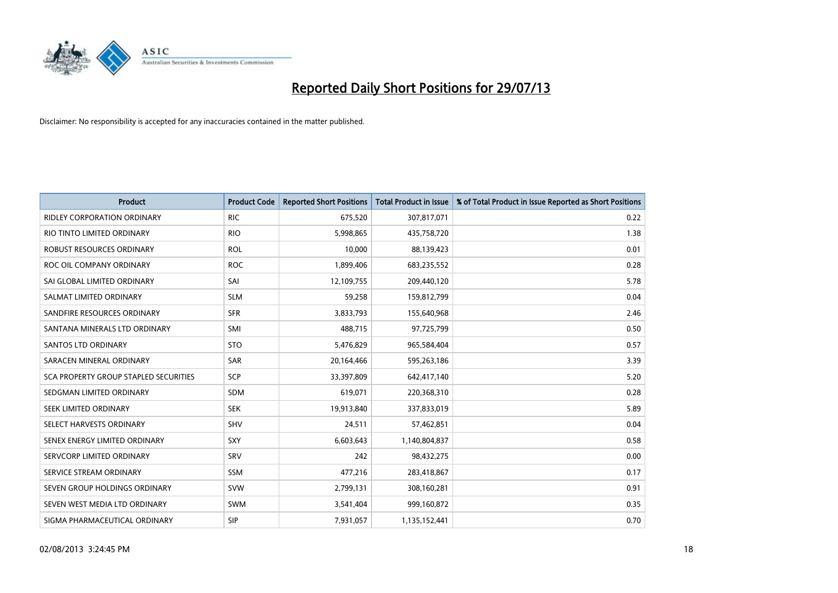

| <b>Product</b>                        | <b>Product Code</b> | <b>Reported Short Positions</b> | <b>Total Product in Issue</b> | % of Total Product in Issue Reported as Short Positions |
|---------------------------------------|---------------------|---------------------------------|-------------------------------|---------------------------------------------------------|
| <b>RIDLEY CORPORATION ORDINARY</b>    | <b>RIC</b>          | 675,520                         | 307,817,071                   | 0.22                                                    |
| RIO TINTO LIMITED ORDINARY            | <b>RIO</b>          | 5,998,865                       | 435,758,720                   | 1.38                                                    |
| ROBUST RESOURCES ORDINARY             | <b>ROL</b>          | 10,000                          | 88,139,423                    | 0.01                                                    |
| ROC OIL COMPANY ORDINARY              | <b>ROC</b>          | 1,899,406                       | 683,235,552                   | 0.28                                                    |
| SAI GLOBAL LIMITED ORDINARY           | SAI                 | 12,109,755                      | 209,440,120                   | 5.78                                                    |
| SALMAT LIMITED ORDINARY               | <b>SLM</b>          | 59,258                          | 159,812,799                   | 0.04                                                    |
| SANDFIRE RESOURCES ORDINARY           | <b>SFR</b>          | 3,833,793                       | 155,640,968                   | 2.46                                                    |
| SANTANA MINERALS LTD ORDINARY         | SMI                 | 488,715                         | 97,725,799                    | 0.50                                                    |
| SANTOS LTD ORDINARY                   | <b>STO</b>          | 5,476,829                       | 965,584,404                   | 0.57                                                    |
| SARACEN MINERAL ORDINARY              | SAR                 | 20,164,466                      | 595,263,186                   | 3.39                                                    |
| SCA PROPERTY GROUP STAPLED SECURITIES | SCP                 | 33,397,809                      | 642,417,140                   | 5.20                                                    |
| SEDGMAN LIMITED ORDINARY              | SDM                 | 619,071                         | 220,368,310                   | 0.28                                                    |
| SEEK LIMITED ORDINARY                 | <b>SEK</b>          | 19,913,840                      | 337,833,019                   | 5.89                                                    |
| SELECT HARVESTS ORDINARY              | SHV                 | 24,511                          | 57,462,851                    | 0.04                                                    |
| SENEX ENERGY LIMITED ORDINARY         | <b>SXY</b>          | 6,603,643                       | 1,140,804,837                 | 0.58                                                    |
| SERVCORP LIMITED ORDINARY             | SRV                 | 242                             | 98,432,275                    | 0.00                                                    |
| SERVICE STREAM ORDINARY               | SSM                 | 477,216                         | 283,418,867                   | 0.17                                                    |
| SEVEN GROUP HOLDINGS ORDINARY         | <b>SVW</b>          | 2,799,131                       | 308,160,281                   | 0.91                                                    |
| SEVEN WEST MEDIA LTD ORDINARY         | <b>SWM</b>          | 3,541,404                       | 999,160,872                   | 0.35                                                    |
| SIGMA PHARMACEUTICAL ORDINARY         | <b>SIP</b>          | 7,931,057                       | 1,135,152,441                 | 0.70                                                    |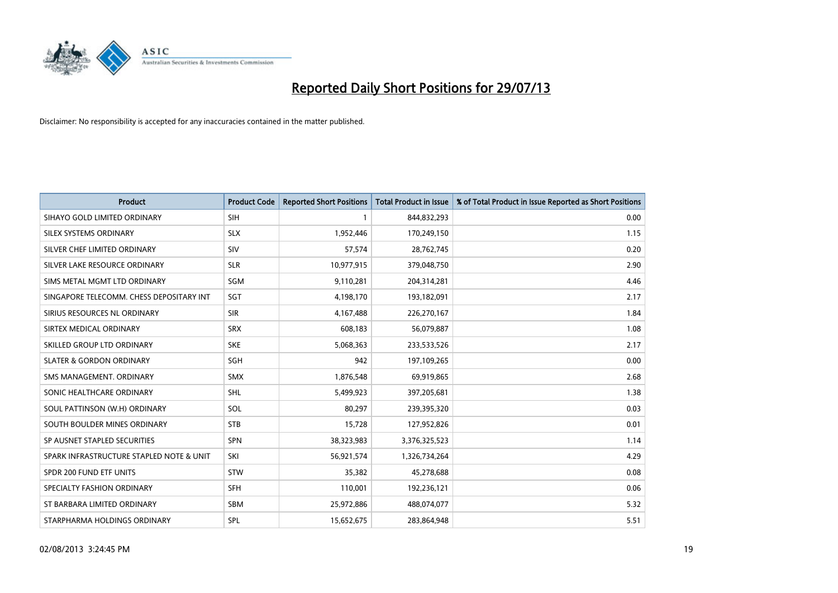

| <b>Product</b>                           | <b>Product Code</b> | <b>Reported Short Positions</b> | <b>Total Product in Issue</b> | % of Total Product in Issue Reported as Short Positions |
|------------------------------------------|---------------------|---------------------------------|-------------------------------|---------------------------------------------------------|
| SIHAYO GOLD LIMITED ORDINARY             | <b>SIH</b>          |                                 | 844,832,293                   | 0.00                                                    |
| SILEX SYSTEMS ORDINARY                   | <b>SLX</b>          | 1,952,446                       | 170,249,150                   | 1.15                                                    |
| SILVER CHEF LIMITED ORDINARY             | SIV                 | 57,574                          | 28,762,745                    | 0.20                                                    |
| SILVER LAKE RESOURCE ORDINARY            | <b>SLR</b>          | 10,977,915                      | 379,048,750                   | 2.90                                                    |
| SIMS METAL MGMT LTD ORDINARY             | SGM                 | 9,110,281                       | 204,314,281                   | 4.46                                                    |
| SINGAPORE TELECOMM. CHESS DEPOSITARY INT | SGT                 | 4,198,170                       | 193,182,091                   | 2.17                                                    |
| SIRIUS RESOURCES NL ORDINARY             | <b>SIR</b>          | 4,167,488                       | 226,270,167                   | 1.84                                                    |
| SIRTEX MEDICAL ORDINARY                  | <b>SRX</b>          | 608,183                         | 56,079,887                    | 1.08                                                    |
| SKILLED GROUP LTD ORDINARY               | <b>SKE</b>          | 5,068,363                       | 233,533,526                   | 2.17                                                    |
| <b>SLATER &amp; GORDON ORDINARY</b>      | SGH                 | 942                             | 197,109,265                   | 0.00                                                    |
| SMS MANAGEMENT, ORDINARY                 | <b>SMX</b>          | 1,876,548                       | 69,919,865                    | 2.68                                                    |
| SONIC HEALTHCARE ORDINARY                | <b>SHL</b>          | 5,499,923                       | 397,205,681                   | 1.38                                                    |
| SOUL PATTINSON (W.H) ORDINARY            | SOL                 | 80,297                          | 239,395,320                   | 0.03                                                    |
| SOUTH BOULDER MINES ORDINARY             | <b>STB</b>          | 15,728                          | 127,952,826                   | 0.01                                                    |
| SP AUSNET STAPLED SECURITIES             | <b>SPN</b>          | 38,323,983                      | 3,376,325,523                 | 1.14                                                    |
| SPARK INFRASTRUCTURE STAPLED NOTE & UNIT | SKI                 | 56,921,574                      | 1,326,734,264                 | 4.29                                                    |
| SPDR 200 FUND ETF UNITS                  | <b>STW</b>          | 35,382                          | 45,278,688                    | 0.08                                                    |
| SPECIALTY FASHION ORDINARY               | <b>SFH</b>          | 110,001                         | 192,236,121                   | 0.06                                                    |
| ST BARBARA LIMITED ORDINARY              | <b>SBM</b>          | 25,972,886                      | 488,074,077                   | 5.32                                                    |
| STARPHARMA HOLDINGS ORDINARY             | SPL                 | 15,652,675                      | 283,864,948                   | 5.51                                                    |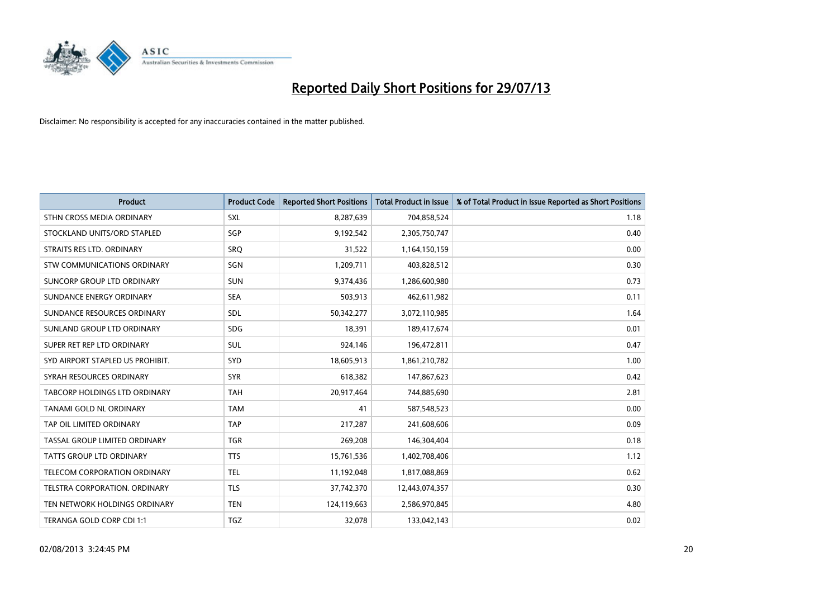

| <b>Product</b>                   | <b>Product Code</b> | <b>Reported Short Positions</b> | <b>Total Product in Issue</b> | % of Total Product in Issue Reported as Short Positions |
|----------------------------------|---------------------|---------------------------------|-------------------------------|---------------------------------------------------------|
| STHN CROSS MEDIA ORDINARY        | <b>SXL</b>          | 8,287,639                       | 704,858,524                   | 1.18                                                    |
| STOCKLAND UNITS/ORD STAPLED      | SGP                 | 9,192,542                       | 2,305,750,747                 | 0.40                                                    |
| STRAITS RES LTD. ORDINARY        | <b>SRQ</b>          | 31,522                          | 1,164,150,159                 | 0.00                                                    |
| STW COMMUNICATIONS ORDINARY      | <b>SGN</b>          | 1,209,711                       | 403,828,512                   | 0.30                                                    |
| SUNCORP GROUP LTD ORDINARY       | <b>SUN</b>          | 9,374,436                       | 1,286,600,980                 | 0.73                                                    |
| SUNDANCE ENERGY ORDINARY         | <b>SEA</b>          | 503,913                         | 462,611,982                   | 0.11                                                    |
| SUNDANCE RESOURCES ORDINARY      | <b>SDL</b>          | 50,342,277                      | 3,072,110,985                 | 1.64                                                    |
| SUNLAND GROUP LTD ORDINARY       | <b>SDG</b>          | 18,391                          | 189,417,674                   | 0.01                                                    |
| SUPER RET REP LTD ORDINARY       | <b>SUL</b>          | 924,146                         | 196,472,811                   | 0.47                                                    |
| SYD AIRPORT STAPLED US PROHIBIT. | SYD                 | 18,605,913                      | 1,861,210,782                 | 1.00                                                    |
| SYRAH RESOURCES ORDINARY         | <b>SYR</b>          | 618,382                         | 147,867,623                   | 0.42                                                    |
| TABCORP HOLDINGS LTD ORDINARY    | <b>TAH</b>          | 20,917,464                      | 744,885,690                   | 2.81                                                    |
| TANAMI GOLD NL ORDINARY          | <b>TAM</b>          | 41                              | 587,548,523                   | 0.00                                                    |
| TAP OIL LIMITED ORDINARY         | <b>TAP</b>          | 217,287                         | 241,608,606                   | 0.09                                                    |
| TASSAL GROUP LIMITED ORDINARY    | <b>TGR</b>          | 269,208                         | 146,304,404                   | 0.18                                                    |
| TATTS GROUP LTD ORDINARY         | <b>TTS</b>          | 15,761,536                      | 1,402,708,406                 | 1.12                                                    |
| TELECOM CORPORATION ORDINARY     | <b>TEL</b>          | 11,192,048                      | 1,817,088,869                 | 0.62                                                    |
| TELSTRA CORPORATION. ORDINARY    | <b>TLS</b>          | 37,742,370                      | 12,443,074,357                | 0.30                                                    |
| TEN NETWORK HOLDINGS ORDINARY    | <b>TEN</b>          | 124,119,663                     | 2,586,970,845                 | 4.80                                                    |
| TERANGA GOLD CORP CDI 1:1        | <b>TGZ</b>          | 32,078                          | 133,042,143                   | 0.02                                                    |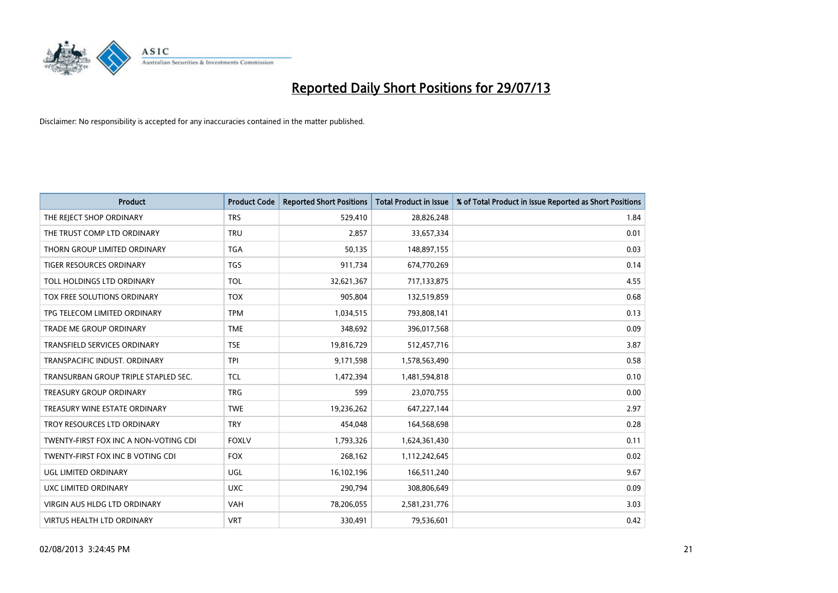

| <b>Product</b>                        | <b>Product Code</b> | <b>Reported Short Positions</b> | <b>Total Product in Issue</b> | % of Total Product in Issue Reported as Short Positions |
|---------------------------------------|---------------------|---------------------------------|-------------------------------|---------------------------------------------------------|
| THE REJECT SHOP ORDINARY              | <b>TRS</b>          | 529,410                         | 28,826,248                    | 1.84                                                    |
| THE TRUST COMP LTD ORDINARY           | <b>TRU</b>          | 2,857                           | 33,657,334                    | 0.01                                                    |
| THORN GROUP LIMITED ORDINARY          | <b>TGA</b>          | 50,135                          | 148,897,155                   | 0.03                                                    |
| <b>TIGER RESOURCES ORDINARY</b>       | <b>TGS</b>          | 911,734                         | 674,770,269                   | 0.14                                                    |
| TOLL HOLDINGS LTD ORDINARY            | <b>TOL</b>          | 32,621,367                      | 717,133,875                   | 4.55                                                    |
| TOX FREE SOLUTIONS ORDINARY           | <b>TOX</b>          | 905,804                         | 132,519,859                   | 0.68                                                    |
| TPG TELECOM LIMITED ORDINARY          | <b>TPM</b>          | 1,034,515                       | 793,808,141                   | 0.13                                                    |
| <b>TRADE ME GROUP ORDINARY</b>        | <b>TME</b>          | 348,692                         | 396,017,568                   | 0.09                                                    |
| <b>TRANSFIELD SERVICES ORDINARY</b>   | <b>TSE</b>          | 19,816,729                      | 512,457,716                   | 3.87                                                    |
| TRANSPACIFIC INDUST, ORDINARY         | <b>TPI</b>          | 9,171,598                       | 1,578,563,490                 | 0.58                                                    |
| TRANSURBAN GROUP TRIPLE STAPLED SEC.  | TCL                 | 1,472,394                       | 1,481,594,818                 | 0.10                                                    |
| <b>TREASURY GROUP ORDINARY</b>        | <b>TRG</b>          | 599                             | 23,070,755                    | 0.00                                                    |
| TREASURY WINE ESTATE ORDINARY         | <b>TWE</b>          | 19,236,262                      | 647,227,144                   | 2.97                                                    |
| TROY RESOURCES LTD ORDINARY           | <b>TRY</b>          | 454,048                         | 164,568,698                   | 0.28                                                    |
| TWENTY-FIRST FOX INC A NON-VOTING CDI | <b>FOXLV</b>        | 1,793,326                       | 1,624,361,430                 | 0.11                                                    |
| TWENTY-FIRST FOX INC B VOTING CDI     | <b>FOX</b>          | 268,162                         | 1,112,242,645                 | 0.02                                                    |
| UGL LIMITED ORDINARY                  | UGL                 | 16,102,196                      | 166,511,240                   | 9.67                                                    |
| <b>UXC LIMITED ORDINARY</b>           | <b>UXC</b>          | 290,794                         | 308,806,649                   | 0.09                                                    |
| VIRGIN AUS HLDG LTD ORDINARY          | <b>VAH</b>          | 78,206,055                      | 2,581,231,776                 | 3.03                                                    |
| <b>VIRTUS HEALTH LTD ORDINARY</b>     | <b>VRT</b>          | 330,491                         | 79,536,601                    | 0.42                                                    |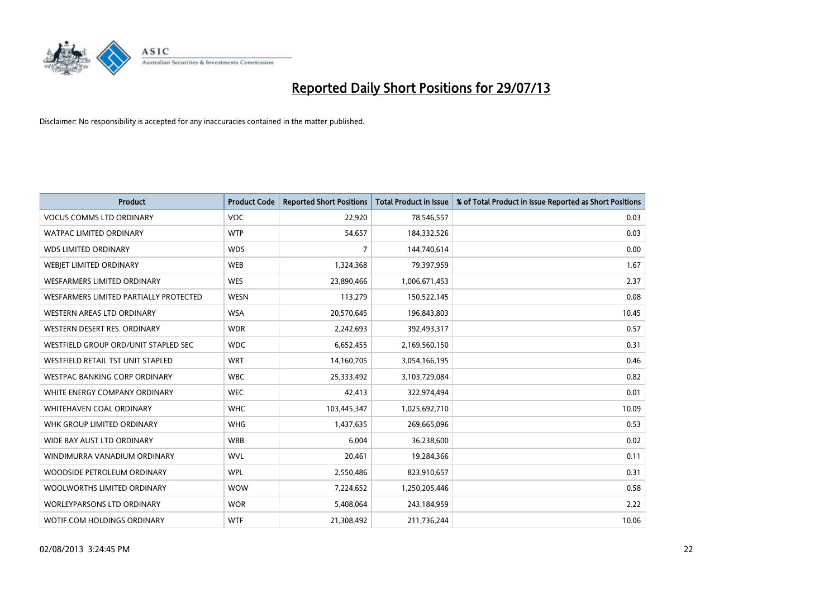

| <b>Product</b>                         | <b>Product Code</b> | <b>Reported Short Positions</b> | <b>Total Product in Issue</b> | % of Total Product in Issue Reported as Short Positions |
|----------------------------------------|---------------------|---------------------------------|-------------------------------|---------------------------------------------------------|
| <b>VOCUS COMMS LTD ORDINARY</b>        | <b>VOC</b>          | 22,920                          | 78,546,557                    | 0.03                                                    |
| WATPAC LIMITED ORDINARY                | <b>WTP</b>          | 54,657                          | 184,332,526                   | 0.03                                                    |
| <b>WDS LIMITED ORDINARY</b>            | <b>WDS</b>          | $\overline{7}$                  | 144,740,614                   | 0.00                                                    |
| WEBIET LIMITED ORDINARY                | <b>WEB</b>          | 1,324,368                       | 79,397,959                    | 1.67                                                    |
| <b>WESFARMERS LIMITED ORDINARY</b>     | <b>WES</b>          | 23,890,466                      | 1,006,671,453                 | 2.37                                                    |
| WESFARMERS LIMITED PARTIALLY PROTECTED | <b>WESN</b>         | 113,279                         | 150,522,145                   | 0.08                                                    |
| WESTERN AREAS LTD ORDINARY             | <b>WSA</b>          | 20,570,645                      | 196,843,803                   | 10.45                                                   |
| WESTERN DESERT RES. ORDINARY           | <b>WDR</b>          | 2,242,693                       | 392,493,317                   | 0.57                                                    |
| WESTFIELD GROUP ORD/UNIT STAPLED SEC   | <b>WDC</b>          | 6,652,455                       | 2,169,560,150                 | 0.31                                                    |
| WESTFIELD RETAIL TST UNIT STAPLED      | <b>WRT</b>          | 14,160,705                      | 3,054,166,195                 | 0.46                                                    |
| WESTPAC BANKING CORP ORDINARY          | <b>WBC</b>          | 25,333,492                      | 3,103,729,084                 | 0.82                                                    |
| WHITE ENERGY COMPANY ORDINARY          | <b>WEC</b>          | 42,413                          | 322,974,494                   | 0.01                                                    |
| WHITEHAVEN COAL ORDINARY               | <b>WHC</b>          | 103,445,347                     | 1,025,692,710                 | 10.09                                                   |
| WHK GROUP LIMITED ORDINARY             | <b>WHG</b>          | 1,437,635                       | 269,665,096                   | 0.53                                                    |
| WIDE BAY AUST LTD ORDINARY             | <b>WBB</b>          | 6,004                           | 36,238,600                    | 0.02                                                    |
| WINDIMURRA VANADIUM ORDINARY           | <b>WVL</b>          | 20,461                          | 19,284,366                    | 0.11                                                    |
| WOODSIDE PETROLEUM ORDINARY            | <b>WPL</b>          | 2,550,486                       | 823,910,657                   | 0.31                                                    |
| WOOLWORTHS LIMITED ORDINARY            | <b>WOW</b>          | 7,224,652                       | 1,250,205,446                 | 0.58                                                    |
| <b>WORLEYPARSONS LTD ORDINARY</b>      | <b>WOR</b>          | 5,408,064                       | 243,184,959                   | 2.22                                                    |
| WOTIF.COM HOLDINGS ORDINARY            | <b>WTF</b>          | 21,308,492                      | 211,736,244                   | 10.06                                                   |